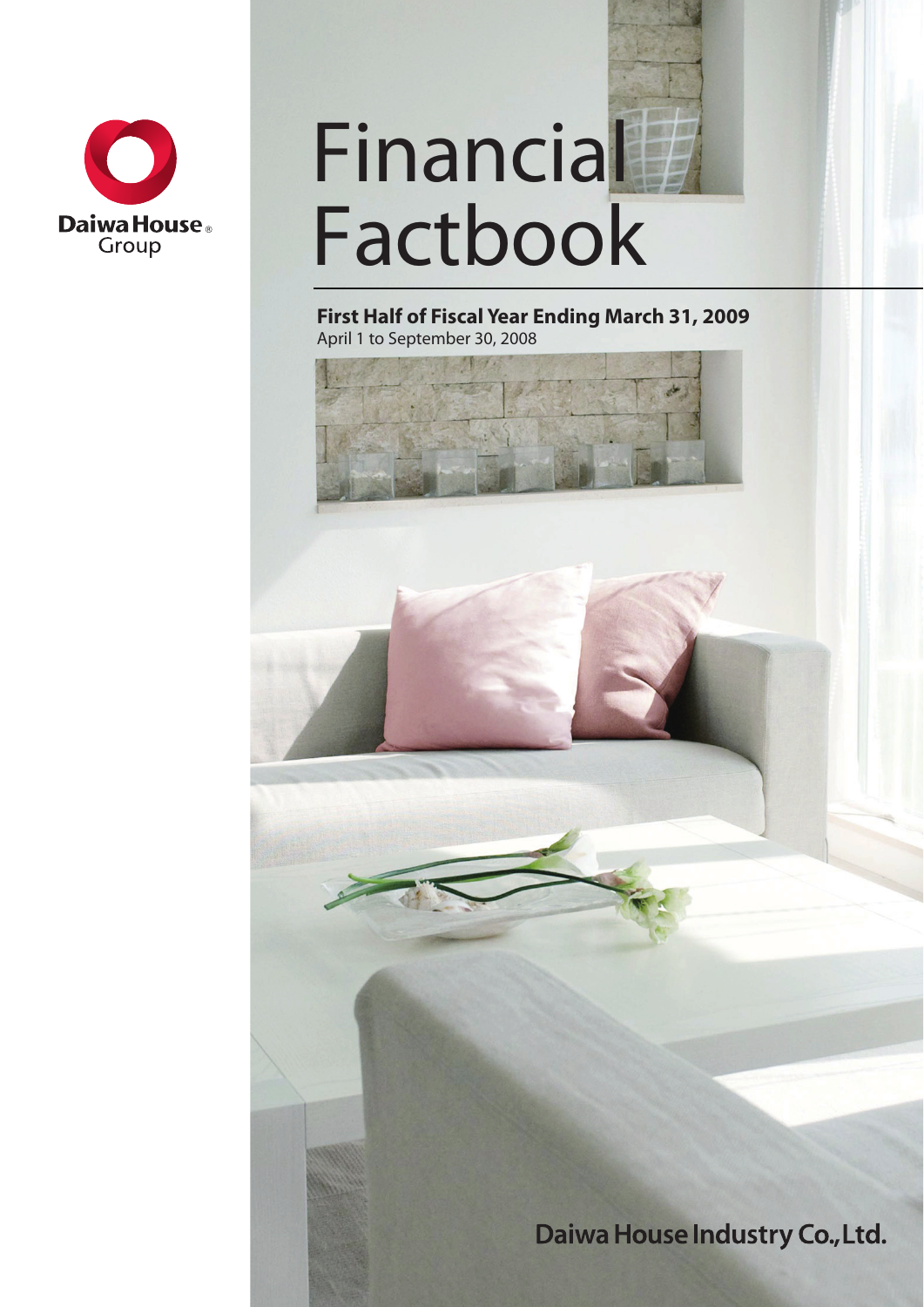

# **Financial** Factbook

**First Half of Fiscal Year Ending March 31, 2009** April 1 to September 30, 2008

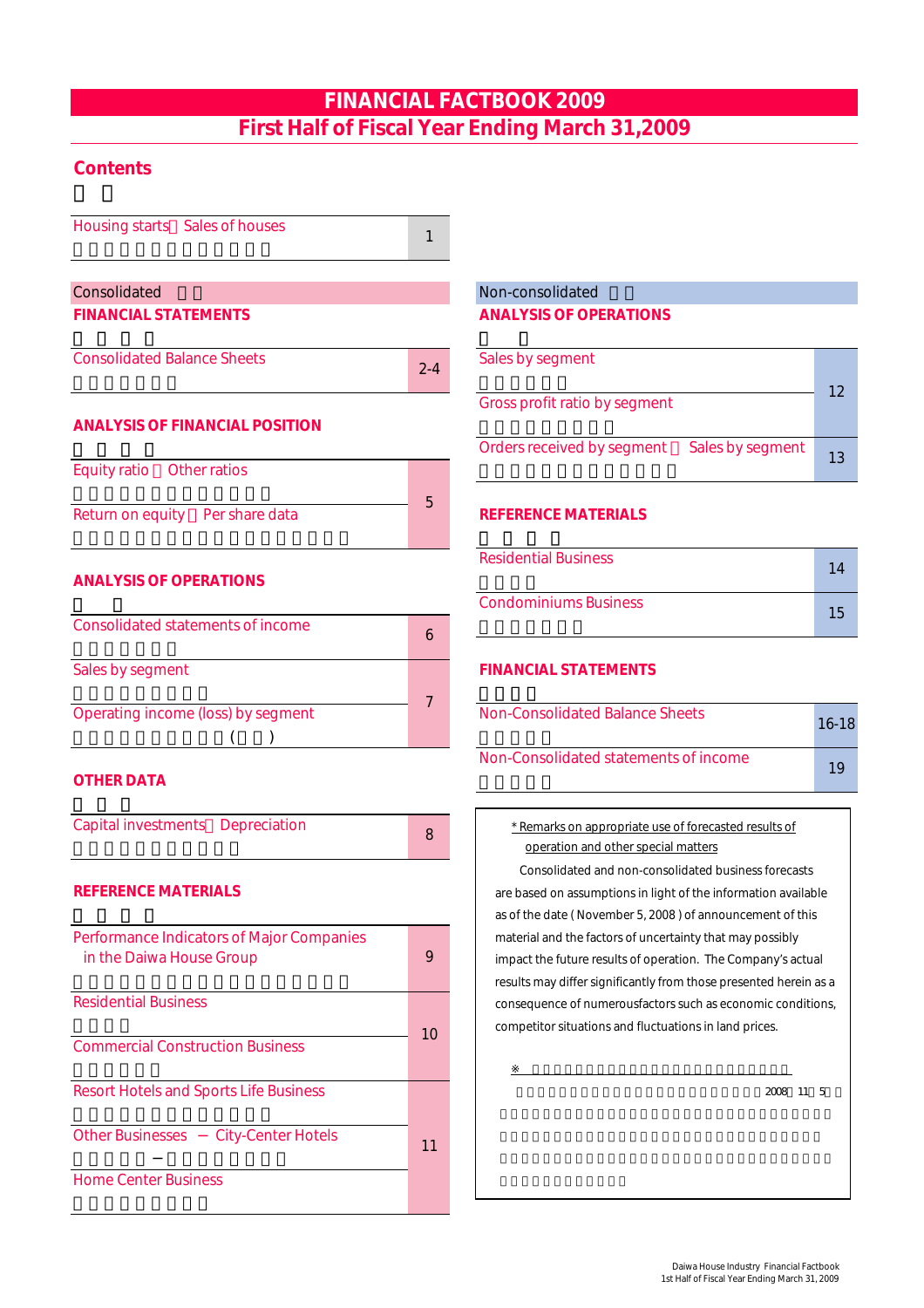# FINANCIAL FACTBOOK 2009 First Half of Fiscal Year Ending March 31,2009

# **Contents**

Housing starts Sales of houses Consolidated 連結 Non-consolidated 個別 FINANCIAL STATEMENTS ANALYSIS OF OPERATIONS **Consolidated Balance Sheets** 基本 - 東京大学大学大学大学大学大学大学大学大学大学大学大学大学大学大学大学大学 ANALYSIS OF FINANCIAL POSITION  $\blacksquare$  . The orders received by segment  $\blacksquare$  Sales by segment Equity ratio Other ratios Return on equity Per share data REFERENCE MATERIALS 自己資本当期純利益率/一株当たり指標 参 考 資 料 **ANALYSIS OF OPERATIONS** 業 績 Condominiums Business Consolidated statements of income Sales by segment FINANCIAL STATEMENTS セグメント はんしゅう しゅうしゅう しゅうしゅ Operating income (loss) by segment Non-Consolidated Balance Sheets 1 2-4 5 6 7

### **OTHER DATA**

Capital investments Depreciation **because**  $\overline{\phantom{a}}$   **Remarks on appropriate use of forecasted results of** 8

 $\left(\begin{array}{c}\right)$ 

### REFERENCE MATERIALS

| Performance Indicators of Major Companies<br>in the Daiwa House Group | 9  | material and the factors of uncertainty that may possibly<br>impact the future results of operation. The Company's actual<br>results may differ significantly from those presented herein as a |
|-----------------------------------------------------------------------|----|------------------------------------------------------------------------------------------------------------------------------------------------------------------------------------------------|
| <b>Residential Business</b>                                           | 10 | consequence of numerousfactors such as economic conditions,<br>competitor situations and fluctuations in land prices.                                                                          |
| <b>Commercial Construction Business</b>                               |    |                                                                                                                                                                                                |
| <b>Resort Hotels and Sports Life Business</b>                         |    | 2008<br>11 5                                                                                                                                                                                   |
| <b>Other Businesses</b><br><b>City-Center Hotels</b>                  | 11 |                                                                                                                                                                                                |
| <b>Home Center Business</b>                                           |    |                                                                                                                                                                                                |

| Sales by segment              |                  |    |
|-------------------------------|------------------|----|
| Gross profit ratio by segment |                  | 12 |
| Orders received by segment    | Sales by segment | 13 |

| Residential Business  |  |
|-----------------------|--|
| Condominiums Business |  |

Non-Consolidated statements of income

19

16-18

operation and other special matters

competitor situations and fluctuations in land prices. consequence of numerousfactors such as economic conditions, as of the date ( November 5, 2008 ) of announcement of this material and the factors of uncertainty that may possibly impact the future results of operation. The Company's actual results may differ significantly from those presented herein as a Consolidated and non-consolidated business forecasts are based on assumptions in light of the information available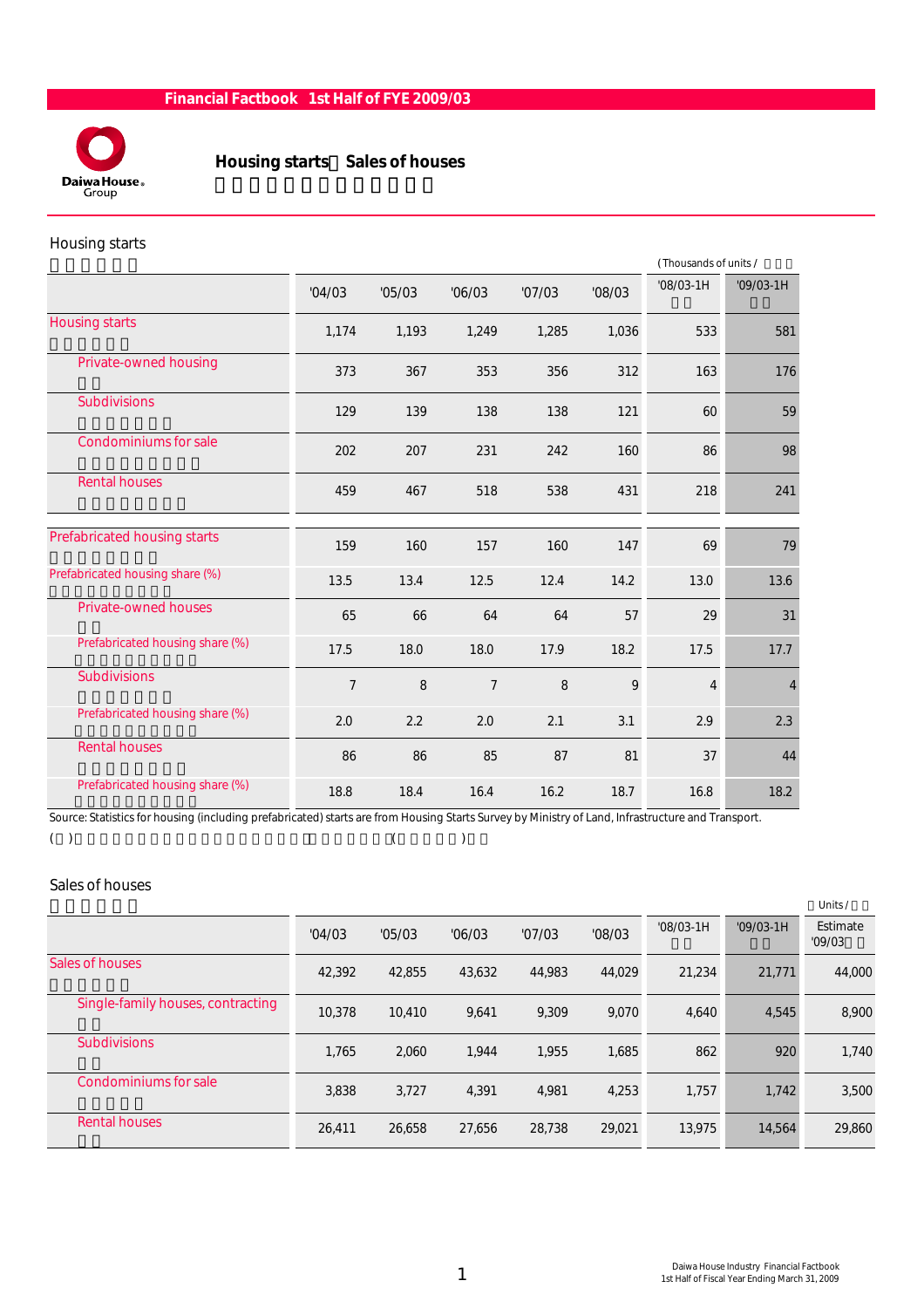

# Housing starts Sales of houses

#### Housing starts

|                                 |                |        | (Thousands of units / |        |        |                |             |
|---------------------------------|----------------|--------|-----------------------|--------|--------|----------------|-------------|
|                                 | '04/03         | '05/03 | '06/03                | '07/03 | '08/03 | $'08/03-1H$    | $'09/03-1H$ |
| <b>Housing starts</b>           | 1,174          | 1,193  | 1,249                 | 1,285  | 1,036  | 533            | 581         |
| Private-owned housing           | 373            | 367    | 353                   | 356    | 312    | 163            | 176         |
| <b>Subdivisions</b>             | 129            | 139    | 138                   | 138    | 121    | 60             | 59          |
| <b>Condominiums for sale</b>    | 202            | 207    | 231                   | 242    | 160    | 86             | 98          |
| <b>Rental houses</b>            | 459            | 467    | 518                   | 538    | 431    | 218            | 241         |
| Prefabricated housing starts    | 159            | 160    | 157                   | 160    | 147    | 69             | 79          |
| Prefabricated housing share (%) | 13.5           | 13.4   | 12.5                  | 12.4   | 14.2   | 13.0           | 13.6        |
| <b>Private-owned houses</b>     | 65             | 66     | 64                    | 64     | 57     | 29             | 31          |
| Prefabricated housing share (%) | 17.5           | 18.0   | 18.0                  | 17.9   | 18.2   | 17.5           | 17.7        |
| <b>Subdivisions</b>             | $\overline{7}$ | 8      | $\overline{7}$        | 8      | 9      | $\overline{4}$ | 4           |
| Prefabricated housing share (%) | 2.0            | 2.2    | 2.0                   | 2.1    | 3.1    | 2.9            | 2.3         |
| <b>Rental houses</b>            | 86             | 86     | 85                    | 87     | 81     | 37             | 44          |
| Prefabricated housing share (%) | 18.8           | 18.4   | 16.4                  | 16.2   | 18.7   | 16.8           | 18.2        |

Source: Statistics for housing (including prefabricated) starts are from Housing Starts Survey by Ministry of Land, Infrastructure and Transport.

#### ( ) example  $($  ) and  $($

#### Sales of houses

|                                   |        |        |        |        |        |             |             | Units/             |
|-----------------------------------|--------|--------|--------|--------|--------|-------------|-------------|--------------------|
|                                   | '04/03 | '05/03 | '06/03 | '07/03 | '08/03 | $'08/03-1H$ | $'09/03-1H$ | Estimate<br>'09/03 |
| Sales of houses                   | 42,392 | 42,855 | 43,632 | 44,983 | 44,029 | 21,234      | 21,771      | 44,000             |
| Single-family houses, contracting | 10,378 | 10.410 | 9,641  | 9,309  | 9,070  | 4,640       | 4,545       | 8,900              |
| <b>Subdivisions</b>               | 1.765  | 2,060  | 1.944  | 1.955  | 1,685  | 862         | 920         | 1,740              |
| Condominiums for sale             | 3,838  | 3,727  | 4.391  | 4,981  | 4,253  | 1,757       | 1,742       | 3,500              |
| <b>Rental houses</b>              | 26,411 | 26,658 | 27,656 | 28,738 | 29,021 | 13,975      | 14,564      | 29,860             |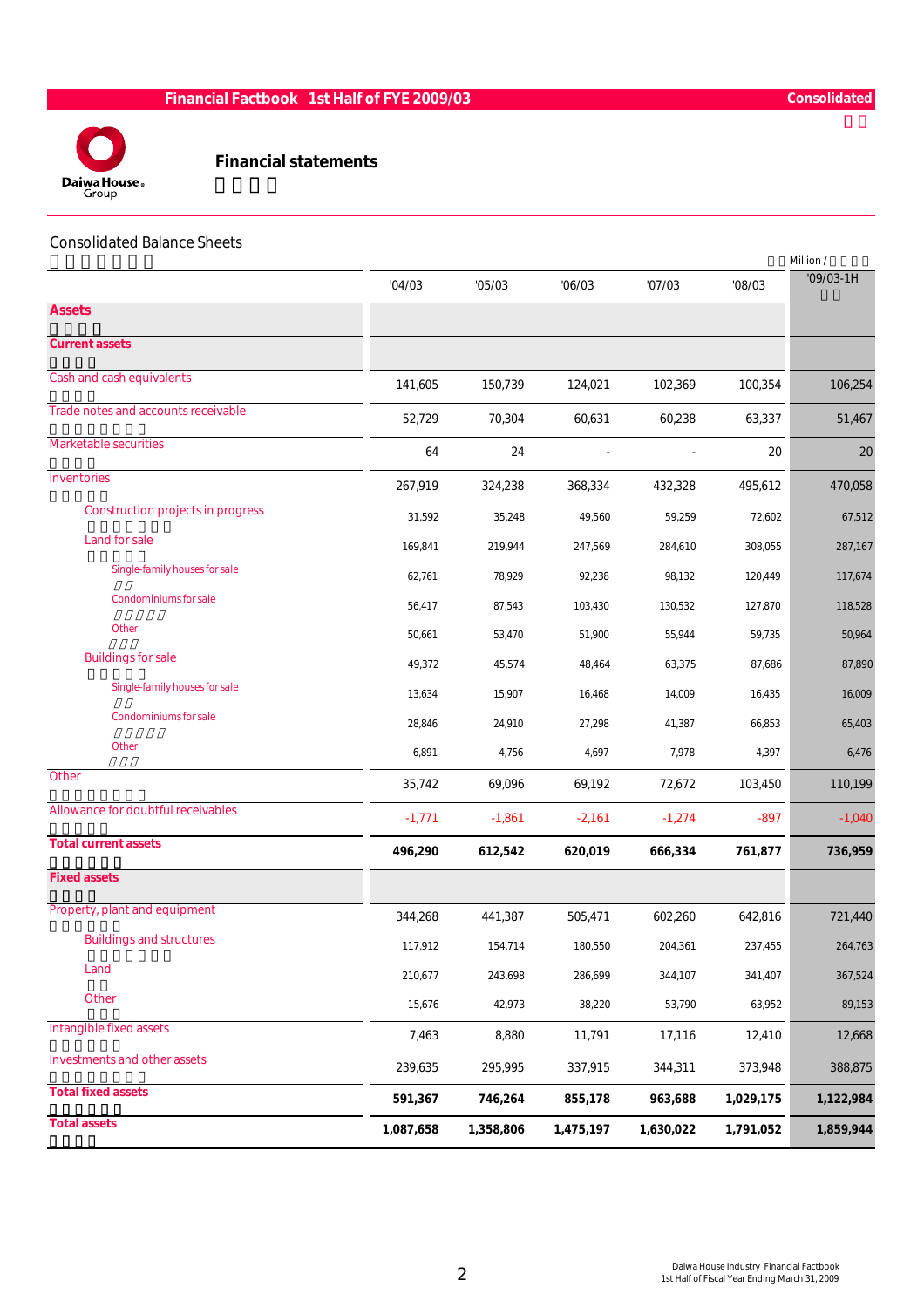

#### Financial statements

#### Consolidated Balance Sheets

|                                          |           |           |           |           |           | Million /   |
|------------------------------------------|-----------|-----------|-----------|-----------|-----------|-------------|
|                                          | '04/03    | '05/03    | '06/03    | '07/03    | '08/03    | $'09/03-1H$ |
| <b>Assets</b>                            |           |           |           |           |           |             |
| <b>Current assets</b>                    |           |           |           |           |           |             |
| Cash and cash equivalents                | 141,605   | 150,739   | 124,021   | 102,369   | 100,354   | 106,254     |
| Trade notes and accounts receivable      | 52,729    | 70,304    | 60,631    | 60,238    | 63,337    | 51,467      |
| <b>Marketable securities</b>             | 64        | 24        |           |           | 20        | 20          |
| Inventories                              | 267,919   | 324,238   | 368,334   | 432,328   | 495,612   | 470,058     |
| <b>Construction projects in progress</b> | 31,592    | 35,248    | 49,560    | 59,259    | 72,602    | 67,512      |
| Land for sale                            | 169,841   | 219,944   | 247,569   | 284,610   | 308,055   | 287,167     |
| Single-family houses for sale            | 62,761    | 78,929    | 92,238    | 98,132    | 120,449   | 117,674     |
| Condominiums for sale                    | 56,417    | 87,543    | 103,430   | 130,532   | 127,870   | 118,528     |
| Other                                    | 50,661    | 53,470    | 51,900    | 55,944    | 59,735    | 50,964      |
| <b>Buildings for sale</b>                | 49,372    | 45,574    | 48,464    | 63,375    | 87,686    | 87,890      |
| Single-family houses for sale            | 13,634    | 15,907    | 16,468    | 14,009    | 16,435    | 16,009      |
| Condominiums for sale                    | 28,846    | 24,910    | 27,298    | 41,387    | 66,853    | 65,403      |
| <b>Other</b>                             | 6,891     | 4,756     | 4,697     | 7,978     | 4,397     | 6,476       |
| Other                                    | 35,742    | 69,096    | 69,192    | 72,672    | 103,450   | 110,199     |
| Allowance for doubtful receivables       | $-1,771$  | $-1,861$  | $-2,161$  | $-1,274$  | $-897$    | $-1,040$    |
| <b>Total current assets</b>              | 496,290   | 612,542   | 620,019   | 666,334   | 761,877   | 736,959     |
| <b>Fixed assets</b>                      |           |           |           |           |           |             |
| Property, plant and equipment            | 344,268   | 441,387   | 505,471   | 602,260   | 642,816   | 721,440     |
| <b>Buildings and structures</b>          | 117,912   | 154,714   | 180,550   | 204,361   | 237,455   | 264,763     |
| Land                                     | 210,677   | 243,698   | 286,699   | 344,107   | 341,407   | 367,524     |
| Other                                    | 15,676    | 42,973    | 38,220    | 53,790    | 63,952    | 89,153      |
| Intangible fixed assets                  | 7,463     | 8,880     | 11,791    | 17,116    | 12,410    | 12,668      |
| Investments and other assets             | 239,635   | 295,995   | 337,915   | 344,311   | 373,948   | 388,875     |
| <b>Total fixed assets</b>                | 591,367   | 746,264   | 855,178   | 963,688   | 1,029,175 | 1,122,984   |
| <b>Total assets</b>                      | 1,087,658 | 1,358,806 | 1,475,197 | 1,630,022 | 1,791,052 | 1,859,944   |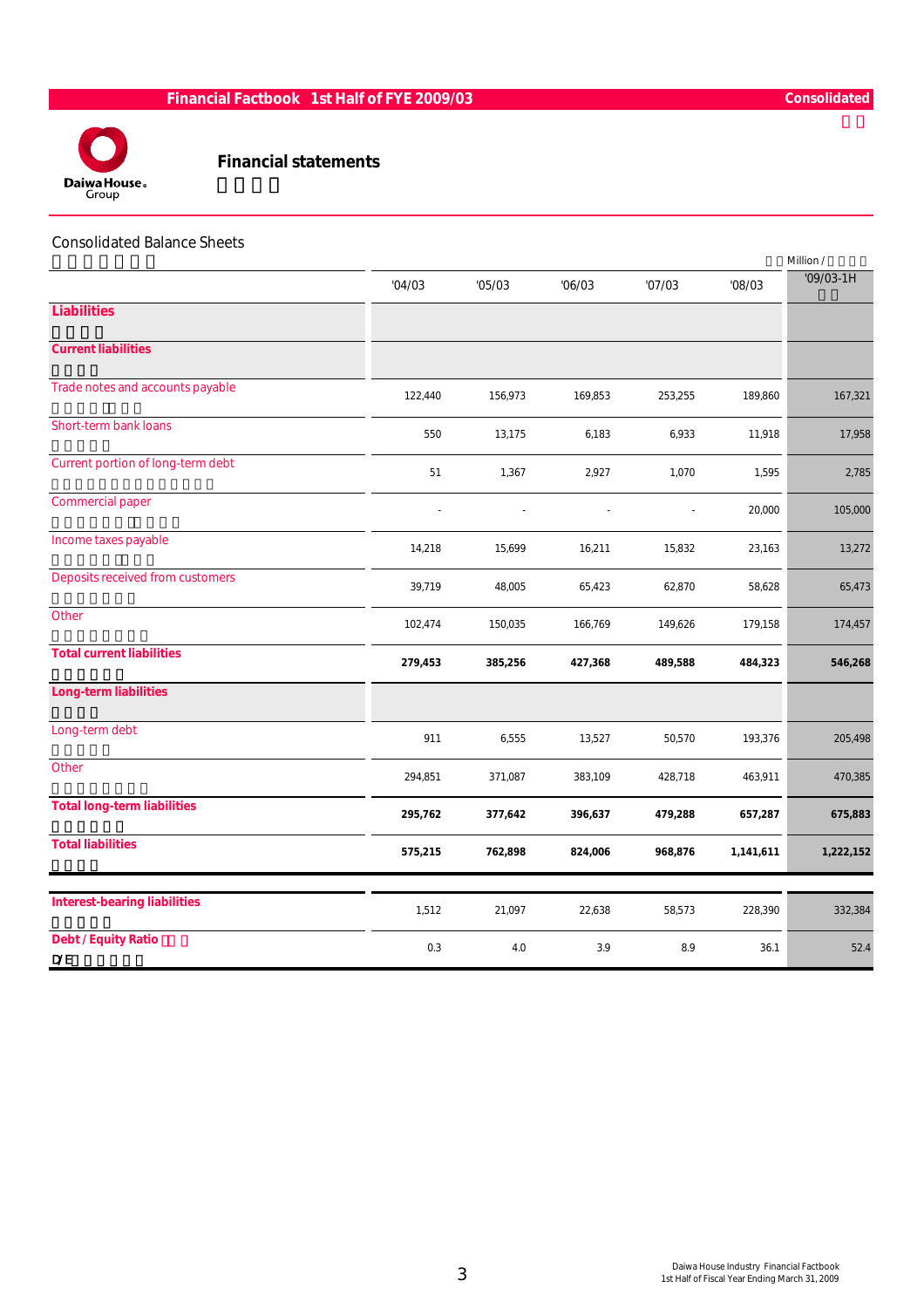

### Financial statements

#### Consolidated Balance Sheets

|                                          |         |         |                |                |           | Million /   |
|------------------------------------------|---------|---------|----------------|----------------|-----------|-------------|
|                                          | '04/03  | '05/03  | '06/03         | '07/03         | '08/03    | $'09/03-1H$ |
| <b>Liabilities</b>                       |         |         |                |                |           |             |
| <b>Current liabilities</b>               |         |         |                |                |           |             |
| Trade notes and accounts payable         | 122,440 | 156,973 | 169,853        | 253,255        | 189,860   | 167,321     |
| Short-term bank loans                    | 550     | 13,175  | 6,183          | 6,933          | 11,918    | 17,958      |
| Current portion of long-term debt        | 51      | 1,367   | 2,927          | 1,070          | 1,595     | 2,785       |
| <b>Commercial paper</b>                  |         |         | $\overline{a}$ | $\overline{a}$ | 20,000    | 105,000     |
| Income taxes payable                     | 14,218  | 15,699  | 16,211         | 15,832         | 23,163    | 13,272      |
| Deposits received from customers         | 39,719  | 48,005  | 65,423         | 62,870         | 58,628    | 65,473      |
| Other                                    | 102,474 | 150,035 | 166,769        | 149,626        | 179,158   | 174,457     |
| <b>Total current liabilities</b>         | 279,453 | 385,256 | 427,368        | 489,588        | 484,323   | 546,268     |
| <b>Long-term liabilities</b>             |         |         |                |                |           |             |
| Long-term debt                           | 911     | 6,555   | 13,527         | 50,570         | 193,376   | 205,498     |
| Other                                    | 294,851 | 371,087 | 383,109        | 428,718        | 463,911   | 470,385     |
| <b>Total long-term liabilities</b>       | 295,762 | 377,642 | 396,637        | 479,288        | 657,287   | 675,883     |
| <b>Total liabilities</b>                 | 575,215 | 762,898 | 824,006        | 968,876        | 1,141,611 | 1,222,152   |
|                                          |         |         |                |                |           |             |
| <b>Interest-bearing liabilities</b>      | 1,512   | 21,097  | 22,638         | 58,573         | 228,390   | 332,384     |
| <b>Debt / Equity Ratio</b><br><b>D/E</b> | 0.3     | 4.0     | 3.9            | 8.9            | 36.1      | 52.4        |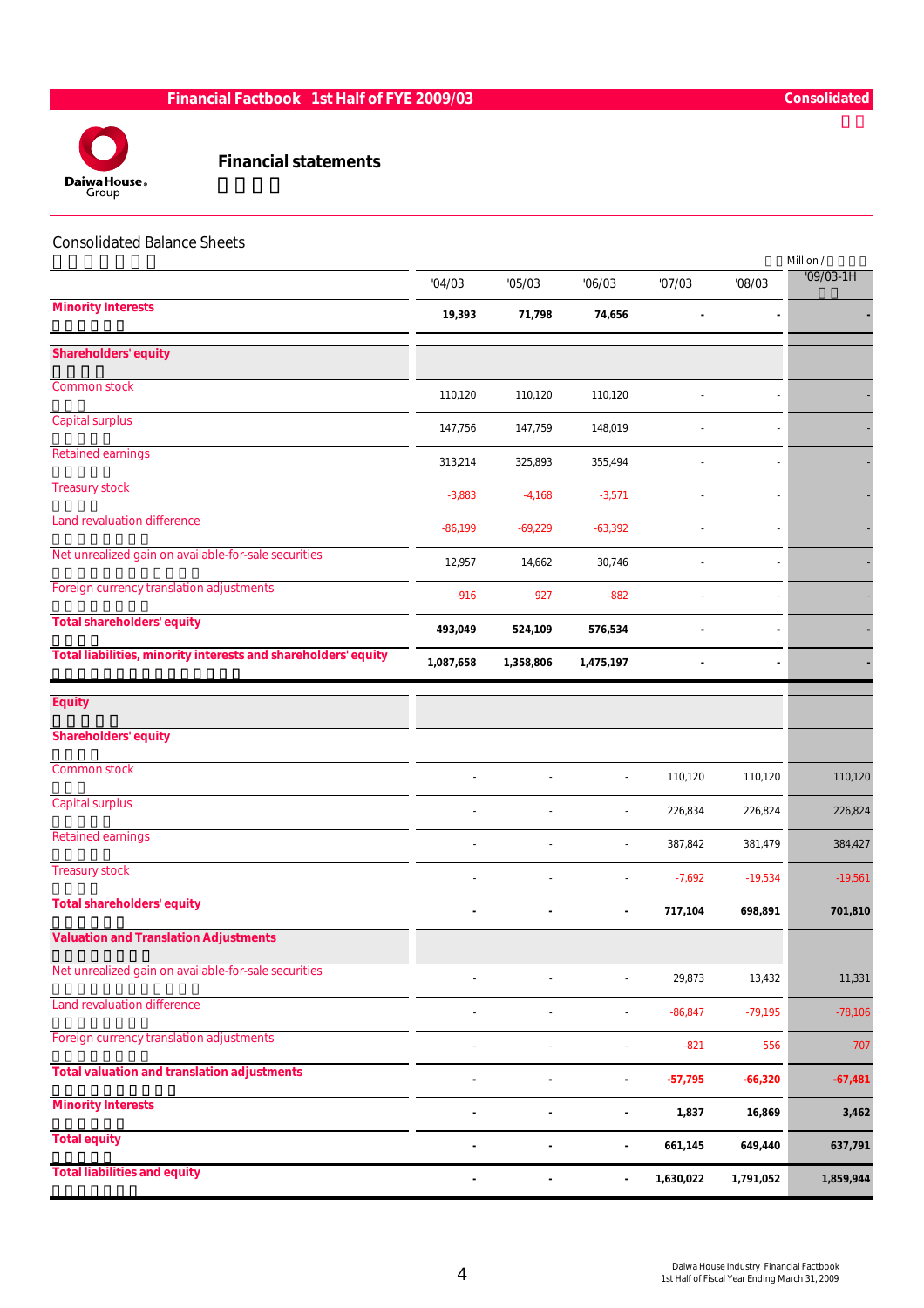

### Financial statements

#### Consolidated Balance Sheets

|                                                                |                          |                |                |           |                          | Million /   |
|----------------------------------------------------------------|--------------------------|----------------|----------------|-----------|--------------------------|-------------|
|                                                                | '04/03                   | '05/03         | '06/03         | '07/03    | '08/03                   | $'09/03-1H$ |
| <b>Minority Interests</b>                                      | 19,393                   | 71,798         | 74,656         |           |                          |             |
| <b>Shareholders' equity</b>                                    |                          |                |                |           |                          |             |
| Common stock                                                   | 110,120                  | 110,120        | 110,120        |           |                          |             |
| Capital surplus                                                | 147,756                  | 147,759        | 148,019        |           |                          |             |
| <b>Retained earnings</b>                                       | 313,214                  | 325,893        | 355,494        |           | $\overline{\phantom{a}}$ |             |
| <b>Treasury stock</b>                                          | $-3,883$                 | $-4,168$       | $-3,571$       |           |                          |             |
| Land revaluation difference                                    | $-86,199$                | $-69,229$      | $-63,392$      |           |                          |             |
| Net unrealized gain on available-for-sale securities           | 12,957                   | 14,662         | 30,746         |           |                          |             |
| Foreign currency translation adjustments                       | $-916$                   | $-927$         | $-882$         |           |                          |             |
| <b>Total shareholders' equity</b>                              | 493,049                  | 524,109        | 576,534        |           |                          |             |
| Total liabilities, minority interests and shareholders' equity | 1,087,658                | 1,358,806      | 1,475,197      |           |                          |             |
| <b>Equity</b>                                                  |                          |                |                |           |                          |             |
| <b>Shareholders' equity</b>                                    |                          |                |                |           |                          |             |
| <b>Common stock</b>                                            |                          |                |                | 110,120   | 110,120                  | 110,120     |
| Capital surplus                                                |                          |                | $\overline{a}$ | 226,834   | 226,824                  | 226,824     |
| <b>Retained earnings</b>                                       |                          |                | $\overline{a}$ | 387,842   | 381,479                  | 384,427     |
| <b>Treasury stock</b>                                          |                          |                | $\overline{a}$ | $-7,692$  | $-19,534$                | $-19,561$   |
| <b>Total shareholders' equity</b>                              | $\blacksquare$           | ٠              | $\blacksquare$ | 717,104   | 698,891                  | 701,810     |
| <b>Valuation and Translation Adjustments</b>                   |                          |                |                |           |                          |             |
| Net unrealized gain on available-for-sale securities           |                          |                | $\overline{a}$ | 29,873    | 13,432                   | 11,331      |
| Land revaluation difference                                    |                          | $\overline{a}$ | $\overline{a}$ | $-86,847$ | $-79,195$                | $-78,106$   |
| Foreign currency translation adjustments                       |                          |                | $\overline{a}$ | $-821$    | $-556$                   | $-707$      |
| <b>Total valuation and translation adjustments</b>             |                          |                | $\blacksquare$ | $-57,795$ | $-66,320$                | $-67,481$   |
| <b>Minority Interests</b>                                      |                          | ٠              | ä,             | 1,837     | 16,869                   | 3,462       |
| <b>Total equity</b>                                            | $\overline{\phantom{a}}$ | $\blacksquare$ | $\blacksquare$ | 661,145   | 649,440                  | 637,791     |
| <b>Total liabilities and equity</b>                            | $\overline{\phantom{a}}$ |                | $\blacksquare$ | 1,630,022 | 1,791,052                | 1,859,944   |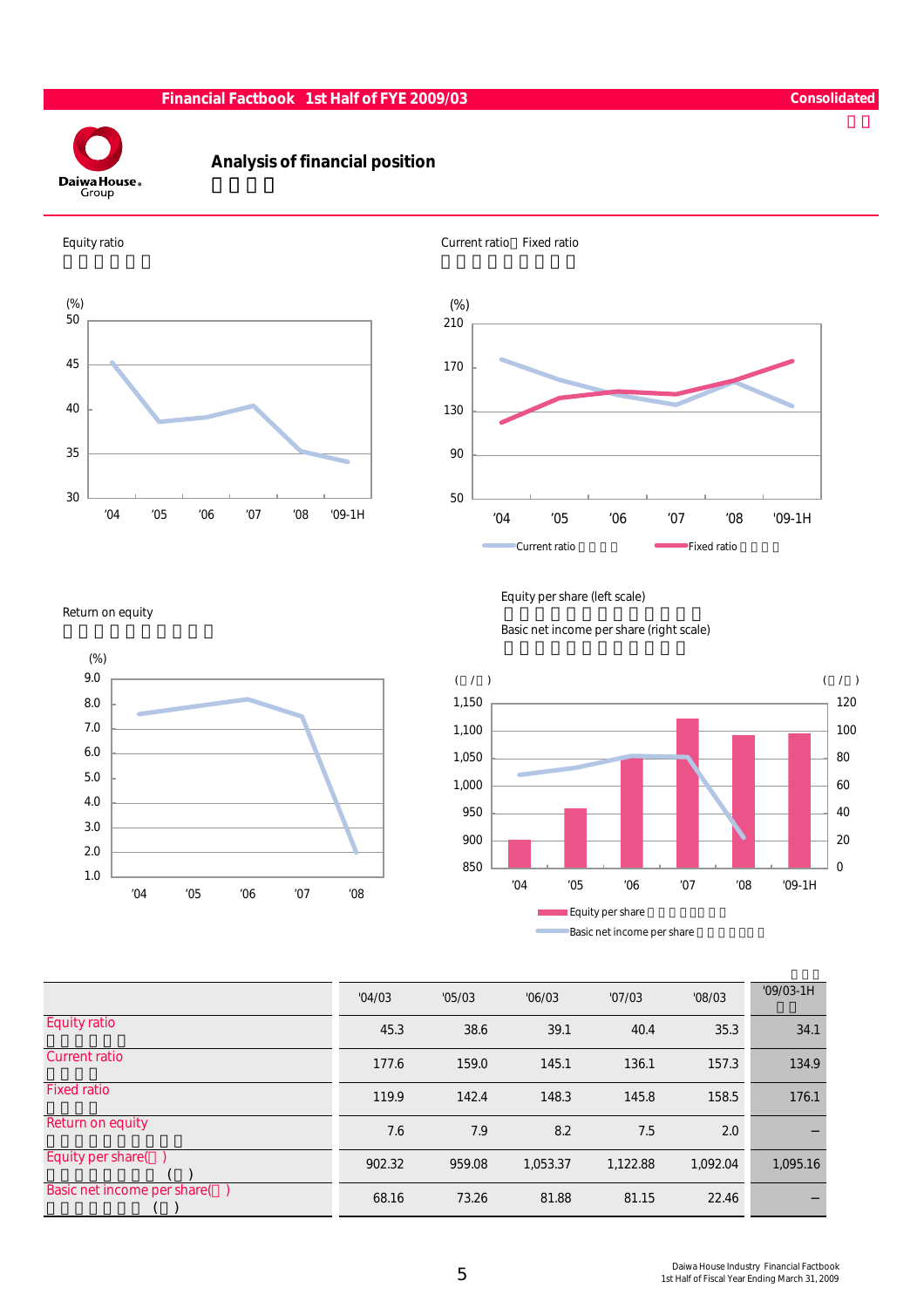

# Analysis of financial position





Return on equity



Equity per share (left scale)

Basic net income per share (right scale)



|                              | '04/03 | '05/03 | '06/03   | '07/03   | '08/03   | $'09/03-1H$ |
|------------------------------|--------|--------|----------|----------|----------|-------------|
| <b>Equity ratio</b>          | 45.3   | 38.6   | 39.1     | 40.4     | 35.3     | 34.1        |
| <b>Current ratio</b>         | 177.6  | 159.0  | 145.1    | 136.1    | 157.3    | 134.9       |
| <b>Fixed ratio</b>           | 119.9  | 142.4  | 148.3    | 145.8    | 158.5    | 176.1       |
| Return on equity             | 7.6    | 7.9    | 8.2      | 7.5      | 2.0      |             |
| Equity per share(            | 902.32 | 959.08 | 1,053.37 | 1,122.88 | 1.092.04 | 1,095.16    |
| Basic net income per share() | 68.16  | 73.26  | 81.88    | 81.15    | 22.46    |             |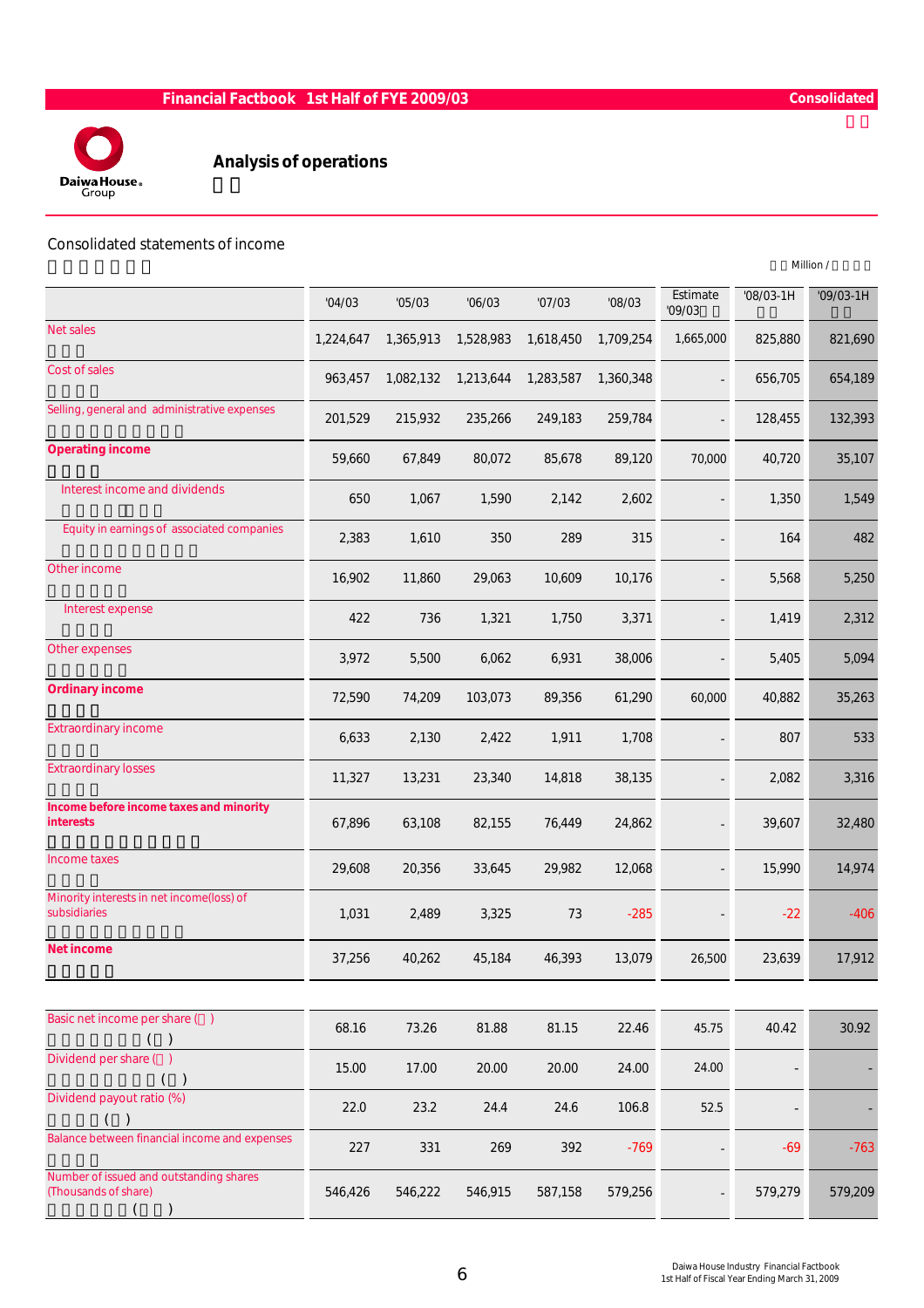

# Analysis of operations

#### Consolidated statements of income

|                                                                 |           |           |           |           |           |                    |           | Million /   |
|-----------------------------------------------------------------|-----------|-----------|-----------|-----------|-----------|--------------------|-----------|-------------|
|                                                                 | '04/03    | '05/03    | '06/03    | '07/03    | '08/03    | Estimate<br>'09/03 | '08/03-1H | $'09/03-1H$ |
| Net sales                                                       | 1,224,647 | 1,365,913 | 1,528,983 | 1,618,450 | 1,709,254 | 1,665,000          | 825,880   | 821,690     |
| Cost of sales                                                   | 963,457   | 1,082,132 | 1,213,644 | 1,283,587 | 1,360,348 |                    | 656,705   | 654,189     |
| Selling, general and administrative expenses                    | 201,529   | 215,932   | 235,266   | 249,183   | 259,784   |                    | 128,455   | 132,393     |
| <b>Operating income</b>                                         | 59,660    | 67,849    | 80,072    | 85,678    | 89,120    | 70,000             | 40,720    | 35,107      |
| Interest income and dividends                                   | 650       | 1,067     | 1,590     | 2,142     | 2,602     |                    | 1,350     | 1,549       |
| Equity in earnings of associated companies                      | 2,383     | 1,610     | 350       | 289       | 315       |                    | 164       | 482         |
| Other income                                                    | 16,902    | 11,860    | 29,063    | 10,609    | 10,176    |                    | 5,568     | 5,250       |
| Interest expense                                                | 422       | 736       | 1,321     | 1,750     | 3,371     |                    | 1,419     | 2,312       |
| Other expenses                                                  | 3,972     | 5,500     | 6,062     | 6,931     | 38,006    |                    | 5,405     | 5,094       |
| <b>Ordinary income</b>                                          | 72,590    | 74,209    | 103,073   | 89,356    | 61,290    | 60,000             | 40,882    | 35,263      |
| <b>Extraordinary income</b>                                     | 6,633     | 2,130     | 2,422     | 1,911     | 1,708     |                    | 807       | 533         |
| <b>Extraordinary losses</b>                                     | 11,327    | 13,231    | 23,340    | 14,818    | 38,135    |                    | 2,082     | 3,316       |
| Income before income taxes and minority<br><b>interests</b>     | 67,896    | 63,108    | 82,155    | 76,449    | 24,862    |                    | 39,607    | 32,480      |
| Income taxes                                                    | 29,608    | 20,356    | 33,645    | 29,982    | 12,068    |                    | 15,990    | 14,974      |
| Minority interests in net income(loss) of<br>subsidiaries       | 1,031     | 2,489     | 3,325     | 73        | $-285$    |                    | $-22$     | $-406$      |
| <b>Net income</b>                                               | 37,256    | 40,262    | 45,184    | 46,393    | 13,079    | 26,500             | 23,639    | 17,912      |
|                                                                 |           |           |           |           |           |                    |           |             |
| Basic net income per share ()<br>$\lambda$                      | 68.16     | 73.26     | 81.88     | 81.15     | 22.46     | 45.75              | 40.42     | 30.92       |
| Dividend per share ()                                           | 15.00     | 17.00     | 20.00     | 20.00     | 24.00     | 24.00              |           |             |
| Dividend payout ratio (%)                                       | 22.0      | 23.2      | 24.4      | 24.6      | 106.8     | 52.5               |           |             |
| Balance between financial income and expenses                   | 227       | 331       | 269       | 392       | $-769$    |                    | $-69$     | $-763$      |
| Number of issued and outstanding shares<br>(Thousands of share) | 546,426   | 546,222   | 546,915   | 587,158   | 579,256   |                    | 579,279   | 579,209     |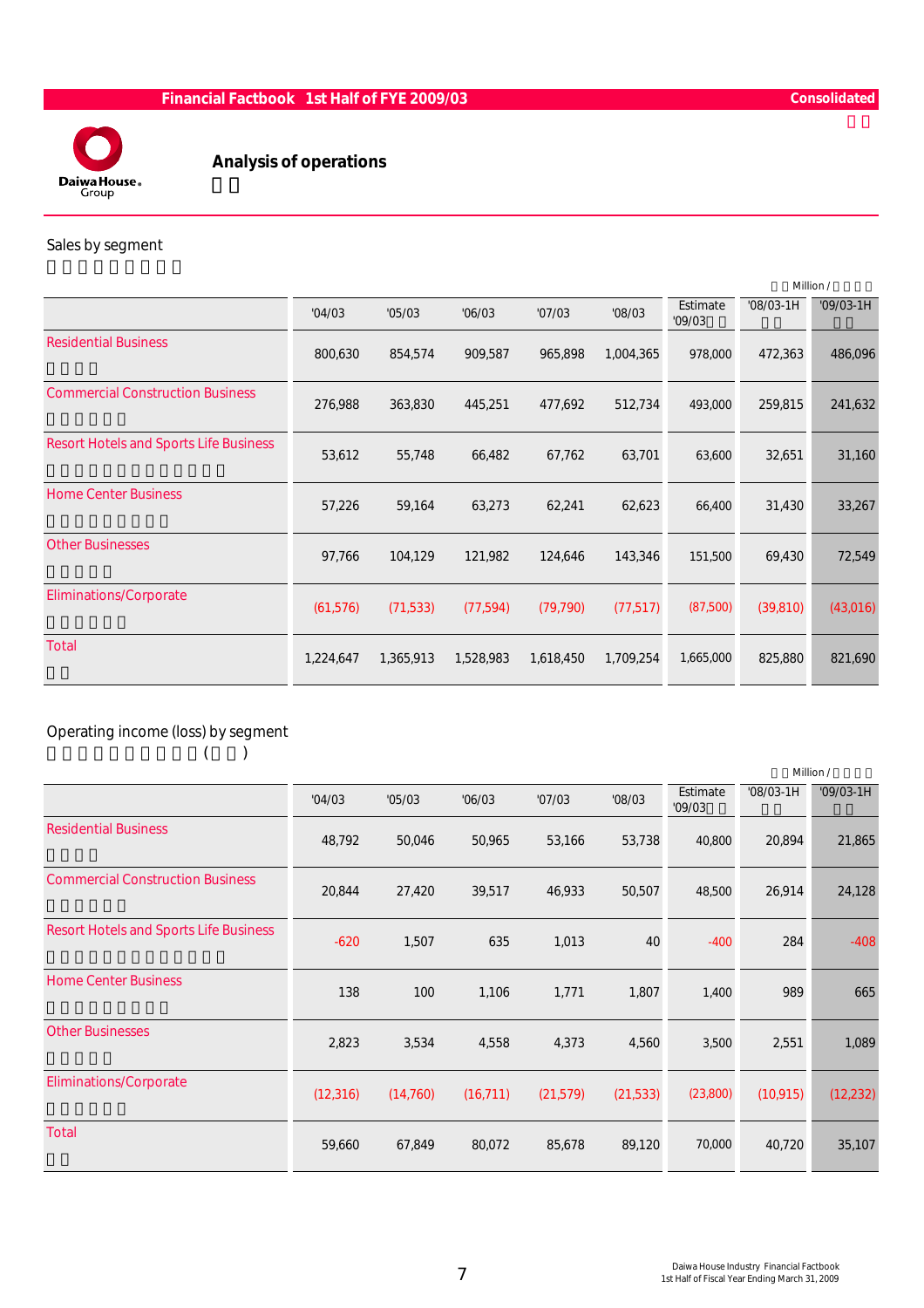

# Analysis of operations

#### Sales by segment

|                                               |           |           |           |           |           |                    |             | Million /   |
|-----------------------------------------------|-----------|-----------|-----------|-----------|-----------|--------------------|-------------|-------------|
|                                               | '04/03    | '05/03    | '06/03    | '07/03    | '08/03    | Estimate<br>'09/03 | $'08/03-1H$ | $'09/03-1H$ |
| <b>Residential Business</b>                   | 800,630   | 854,574   | 909,587   | 965,898   | 1,004,365 | 978,000            | 472,363     | 486,096     |
| <b>Commercial Construction Business</b>       | 276,988   | 363,830   | 445,251   | 477,692   | 512,734   | 493,000            | 259,815     | 241,632     |
| <b>Resort Hotels and Sports Life Business</b> | 53,612    | 55,748    | 66,482    | 67,762    | 63,701    | 63,600             | 32,651      | 31,160      |
| <b>Home Center Business</b>                   | 57,226    | 59,164    | 63,273    | 62,241    | 62,623    | 66,400             | 31,430      | 33,267      |
| <b>Other Businesses</b>                       | 97,766    | 104,129   | 121,982   | 124,646   | 143,346   | 151,500            | 69,430      | 72,549      |
| <b>Eliminations/Corporate</b>                 | (61, 576) | (71, 533) | (77, 594) | (79, 790) | (77, 517) | (87,500)           | (39, 810)   | (43,016)    |
| Total                                         | 1,224,647 | 1,365,913 | 1,528,983 | 1,618,450 | 1,709,254 | 1,665,000          | 825,880     | 821,690     |
|                                               |           |           |           |           |           |                    |             |             |

# Operating income (loss) by segment

 $($ 

|                                               |           |           |           |           |           |                    |             | Million /   |
|-----------------------------------------------|-----------|-----------|-----------|-----------|-----------|--------------------|-------------|-------------|
|                                               | '04/03    | '05/03    | '06/03    | '07/03    | '08/03    | Estimate<br>'09/03 | $'08/03-1H$ | $'09/03-1H$ |
| <b>Residential Business</b>                   | 48,792    | 50,046    | 50,965    | 53,166    | 53,738    | 40,800             | 20,894      | 21,865      |
| <b>Commercial Construction Business</b>       | 20,844    | 27,420    | 39,517    | 46,933    | 50,507    | 48,500             | 26,914      | 24,128      |
| <b>Resort Hotels and Sports Life Business</b> | $-620$    | 1,507     | 635       | 1,013     | 40        | $-400$             | 284         | $-408$      |
| <b>Home Center Business</b>                   | 138       | 100       | 1,106     | 1,771     | 1,807     | 1,400              | 989         | 665         |
| <b>Other Businesses</b>                       | 2,823     | 3,534     | 4,558     | 4,373     | 4,560     | 3,500              | 2,551       | 1,089       |
| <b>Eliminations/Corporate</b>                 | (12, 316) | (14, 760) | (16, 711) | (21, 579) | (21, 533) | (23,800)           | (10, 915)   | (12, 232)   |
| Total                                         | 59,660    | 67,849    | 80,072    | 85,678    | 89,120    | 70,000             | 40,720      | 35,107      |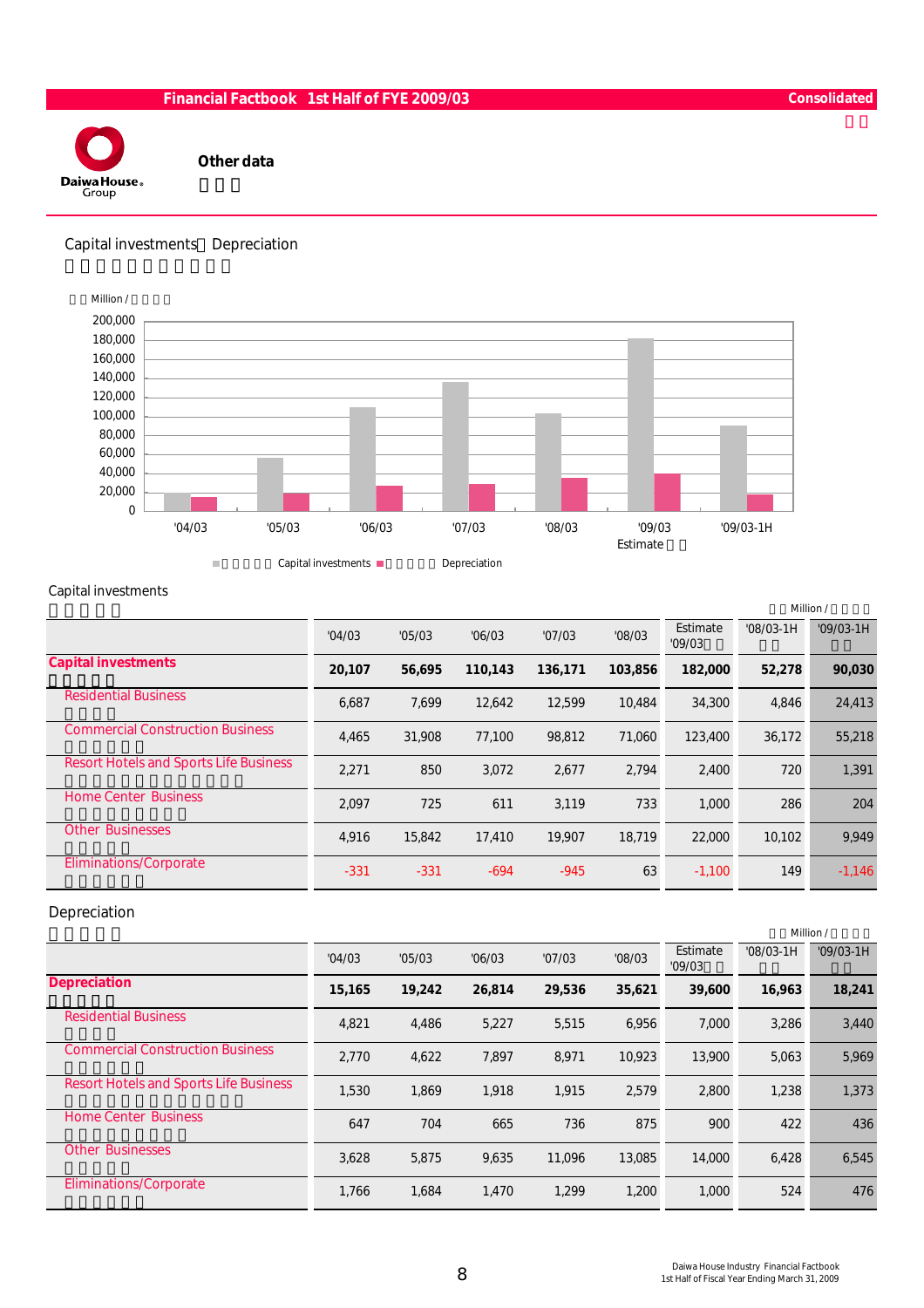

Other data

Capital investments Depreciation



#### Capital investments

|                                               |        |        |         |         |         |                    |             | Million /   |
|-----------------------------------------------|--------|--------|---------|---------|---------|--------------------|-------------|-------------|
|                                               | '04/03 | '05/03 | '06/03  | '07/03  | '08/03  | Estimate<br>'09/03 | $'08/03-1H$ | $'09/03-1H$ |
| <b>Capital investments</b>                    | 20,107 | 56,695 | 110,143 | 136,171 | 103.856 | 182,000            | 52,278      | 90,030      |
| <b>Residential Business</b>                   | 6,687  | 7.699  | 12.642  | 12,599  | 10.484  | 34,300             | 4,846       | 24,413      |
| <b>Commercial Construction Business</b>       | 4,465  | 31,908 | 77,100  | 98,812  | 71,060  | 123,400            | 36,172      | 55,218      |
| <b>Resort Hotels and Sports Life Business</b> | 2,271  | 850    | 3.072   | 2,677   | 2.794   | 2,400              | 720         | 1,391       |
| <b>Home Center Business</b>                   | 2,097  | 725    | 611     | 3,119   | 733     | 1,000              | 286         | 204         |
| <b>Other Businesses</b>                       | 4,916  | 15,842 | 17,410  | 19.907  | 18.719  | 22,000             | 10.102      | 9,949       |
| Eliminations/Corporate                        | $-331$ | $-331$ | $-694$  | $-945$  | 63      | $-1,100$           | 149         | $-1,146$    |

#### Depreciation

|                                               |        |        |        |        |        |                    |             | Million /   |
|-----------------------------------------------|--------|--------|--------|--------|--------|--------------------|-------------|-------------|
|                                               | '04/03 | '05/03 | '06/03 | '07/03 | '08/03 | Estimate<br>'09/03 | $'08/03-1H$ | $'09/03-1H$ |
| <b>Depreciation</b>                           | 15,165 | 19,242 | 26,814 | 29,536 | 35,621 | 39,600             | 16,963      | 18,241      |
| <b>Residential Business</b>                   | 4,821  | 4,486  | 5,227  | 5,515  | 6.956  | 7.000              | 3.286       | 3,440       |
| <b>Commercial Construction Business</b>       | 2,770  | 4,622  | 7,897  | 8,971  | 10,923 | 13,900             | 5,063       | 5,969       |
| <b>Resort Hotels and Sports Life Business</b> | 1,530  | 1.869  | 1,918  | 1,915  | 2,579  | 2,800              | 1.238       | 1,373       |
| <b>Home Center Business</b>                   | 647    | 704    | 665    | 736    | 875    | 900                | 422         | 436         |
| <b>Other Businesses</b>                       | 3,628  | 5,875  | 9,635  | 11.096 | 13,085 | 14,000             | 6,428       | 6,545       |
| <b>Eliminations/Corporate</b>                 | 1.766  | 1,684  | 1,470  | 1,299  | 1,200  | 1,000              | 524         | 476         |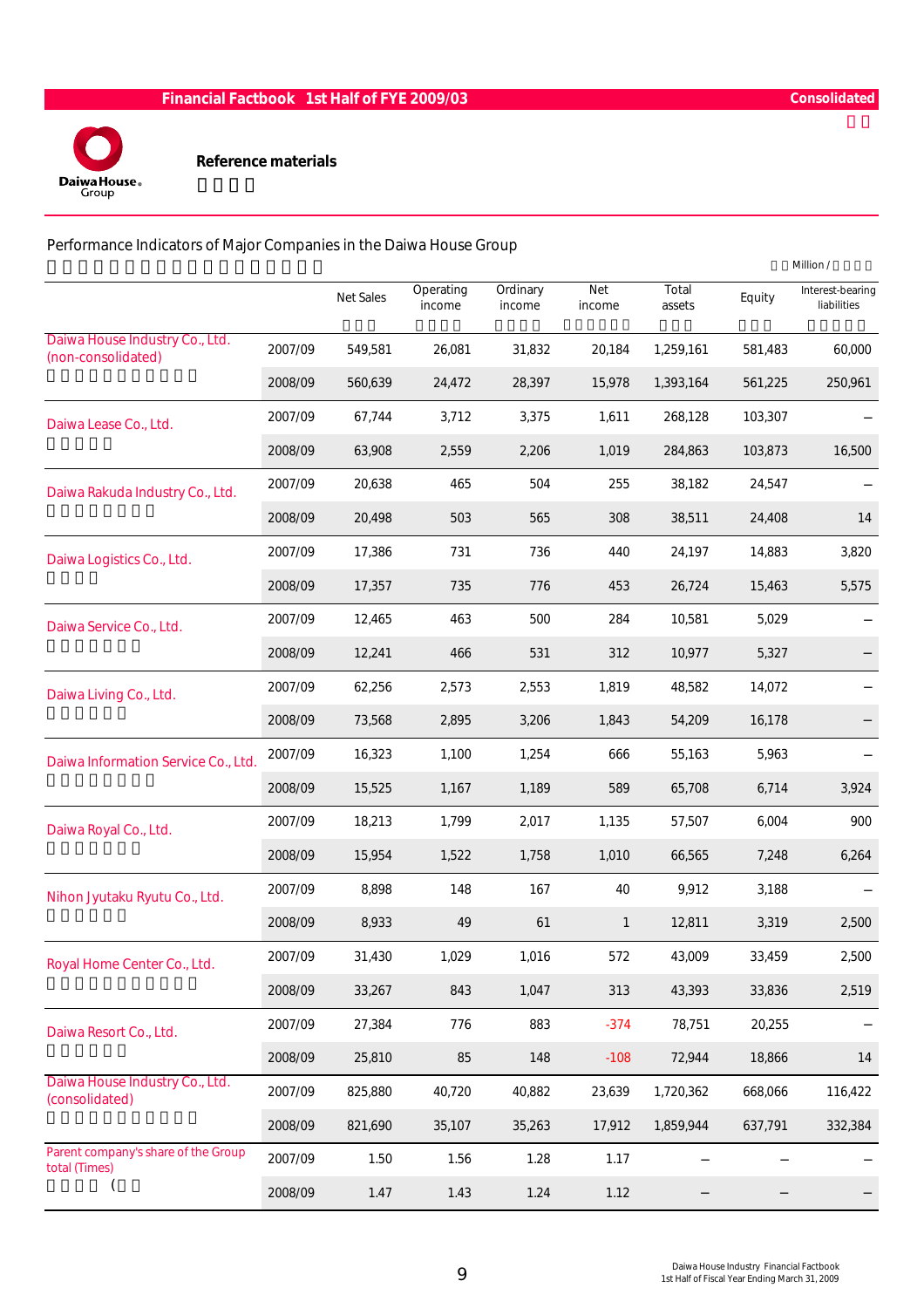

Performance Indicators of Major Companies in the Daiwa House Group

|                                                      |         |                  |                     |                    |                      |                 |         | Million /                       |
|------------------------------------------------------|---------|------------------|---------------------|--------------------|----------------------|-----------------|---------|---------------------------------|
|                                                      |         | <b>Net Sales</b> | Operating<br>income | Ordinary<br>income | <b>Net</b><br>income | Total<br>assets | Equity  | Interest-bearing<br>liabilities |
| Daiwa House Industry Co., Ltd.<br>(non-consolidated) | 2007/09 | 549,581          | 26,081              | 31,832             | 20,184               | 1,259,161       | 581,483 | 60,000                          |
|                                                      | 2008/09 | 560,639          | 24,472              | 28,397             | 15,978               | 1,393,164       | 561,225 | 250,961                         |
| Daiwa Lease Co., Ltd.                                | 2007/09 | 67,744           | 3,712               | 3,375              | 1,611                | 268,128         | 103,307 |                                 |
|                                                      | 2008/09 | 63,908           | 2,559               | 2,206              | 1,019                | 284,863         | 103,873 | 16,500                          |
| Daiwa Rakuda Industry Co., Ltd.                      | 2007/09 | 20,638           | 465                 | 504                | 255                  | 38,182          | 24,547  |                                 |
|                                                      | 2008/09 | 20,498           | 503                 | 565                | 308                  | 38,511          | 24,408  | 14                              |
| Daiwa Logistics Co., Ltd.                            | 2007/09 | 17,386           | 731                 | 736                | 440                  | 24,197          | 14,883  | 3,820                           |
|                                                      | 2008/09 | 17,357           | 735                 | 776                | 453                  | 26,724          | 15,463  | 5,575                           |
| Daiwa Service Co., Ltd.                              | 2007/09 | 12,465           | 463                 | 500                | 284                  | 10,581          | 5,029   |                                 |
|                                                      | 2008/09 | 12,241           | 466                 | 531                | 312                  | 10,977          | 5,327   |                                 |
| Daiwa Living Co., Ltd.                               | 2007/09 | 62,256           | 2,573               | 2,553              | 1,819                | 48,582          | 14,072  |                                 |
|                                                      | 2008/09 | 73,568           | 2,895               | 3,206              | 1,843                | 54,209          | 16,178  |                                 |
| Daiwa Information Service Co., Ltd.                  | 2007/09 | 16,323           | 1,100               | 1,254              | 666                  | 55,163          | 5,963   |                                 |
|                                                      | 2008/09 | 15,525           | 1,167               | 1,189              | 589                  | 65,708          | 6,714   | 3,924                           |
| Daiwa Royal Co., Ltd.                                | 2007/09 | 18,213           | 1,799               | 2,017              | 1,135                | 57,507          | 6,004   | 900                             |
|                                                      | 2008/09 | 15,954           | 1,522               | 1,758              | 1,010                | 66,565          | 7,248   | 6,264                           |
| Nihon Jyutaku Ryutu Co., Ltd.                        | 2007/09 | 8,898            | 148                 | 167                | 40                   | 9,912           | 3,188   |                                 |
|                                                      | 2008/09 | 8,933            | 49                  | 61                 | $\mathbf{1}$         | 12,811          | 3,319   | 2,500                           |
| Royal Home Center Co., Ltd.                          | 2007/09 | 31,430           | 1,029               | 1,016              | 572                  | 43,009          | 33,459  | 2,500                           |
|                                                      | 2008/09 | 33,267           | 843                 | 1,047              | 313                  | 43,393          | 33,836  | 2,519                           |
| Daiwa Resort Co., Ltd.                               | 2007/09 | 27,384           | 776                 | 883                | $-374$               | 78,751          | 20,255  |                                 |
|                                                      | 2008/09 | 25,810           | 85                  | 148                | $-108$               | 72,944          | 18,866  | $14$                            |
| Daiwa House Industry Co., Ltd.<br>(consolidated)     | 2007/09 | 825,880          | 40,720              | 40,882             | 23,639               | 1,720,362       | 668,066 | 116,422                         |
|                                                      | 2008/09 | 821,690          | 35,107              | 35,263             | 17,912               | 1,859,944       | 637,791 | 332,384                         |
| Parent company's share of the Group<br>total (Times) | 2007/09 | 1.50             | 1.56                | 1.28               | 1.17                 |                 |         |                                 |
|                                                      | 2008/09 | 1.47             | 1.43                | 1.24               | 1.12                 |                 |         |                                 |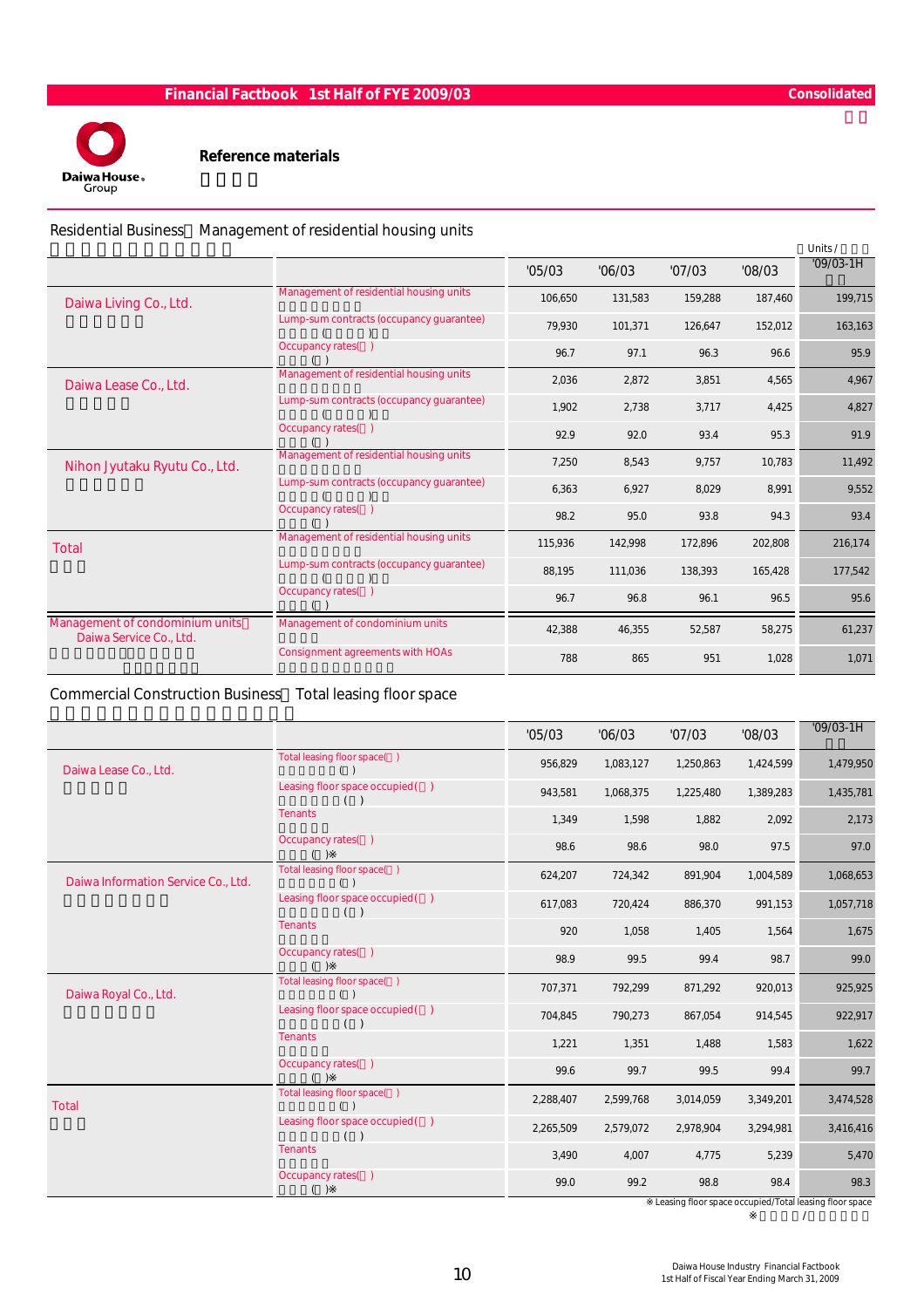

Reference materials

Residential Business Management of residential housing units

|                                                            |                                          |         |         |         |         | Units /     |
|------------------------------------------------------------|------------------------------------------|---------|---------|---------|---------|-------------|
|                                                            |                                          | '05/03  | '06/03  | '07/03  | '08/03  | $'09/03-1H$ |
| Daiwa Living Co., Ltd.                                     | Management of residential housing units  | 106,650 | 131,583 | 159,288 | 187,460 | 199,715     |
|                                                            | Lump-sum contracts (occupancy guarantee) | 79,930  | 101,371 | 126,647 | 152,012 | 163,163     |
|                                                            | Occupancy rates()                        | 96.7    | 97.1    | 96.3    | 96.6    | 95.9        |
| Daiwa Lease Co., Ltd.                                      | Management of residential housing units  | 2,036   | 2,872   | 3,851   | 4,565   | 4,967       |
|                                                            | Lump-sum contracts (occupancy guarantee) | 1.902   | 2.738   | 3.717   | 4,425   | 4,827       |
|                                                            | Occupancy rates()                        | 92.9    | 92.0    | 93.4    | 95.3    | 91.9        |
| Nihon Jyutaku Ryutu Co., Ltd.                              | Management of residential housing units  | 7,250   | 8,543   | 9,757   | 10,783  | 11,492      |
|                                                            | Lump-sum contracts (occupancy quarantee) | 6,363   | 6,927   | 8,029   | 8,991   | 9,552       |
|                                                            | Occupancy rates()                        | 98.2    | 95.0    | 93.8    | 94.3    | 93.4        |
| Total                                                      | Management of residential housing units  | 115,936 | 142,998 | 172,896 | 202,808 | 216,174     |
|                                                            | Lump-sum contracts (occupancy quarantee) | 88,195  | 111,036 | 138,393 | 165,428 | 177,542     |
|                                                            | Occupancy rates()                        | 96.7    | 96.8    | 96.1    | 96.5    | 95.6        |
| Management of condominium units<br>Daiwa Service Co., Ltd. | Management of condominium units          | 42,388  | 46,355  | 52,587  | 58,275  | 61,237      |
|                                                            | <b>Consignment agreements with HOAs</b>  | 788     | 865     | 951     | 1,028   | 1,071       |

#### Commercial Construction Business Total leasing floor space

|                                     |                                       | '05/03    | '06/03    | '07/03    | '08/03    | $'09/03-1H$ |
|-------------------------------------|---------------------------------------|-----------|-----------|-----------|-----------|-------------|
| Daiwa Lease Co., Ltd.               | Total leasing floor space()<br>( )    | 956,829   | 1,083,127 | 1,250,863 | 1,424,599 | 1,479,950   |
|                                     | Leasing floor space occupied()<br>( ) | 943,581   | 1,068,375 | 1,225,480 | 1,389,283 | 1,435,781   |
|                                     | <b>Tenants</b>                        | 1,349     | 1,598     | 1,882     | 2,092     | 2,173       |
|                                     | Occupancy rates()                     | 98.6      | 98.6      | 98.0      | 97.5      | 97.0        |
| Daiwa Information Service Co., Ltd. | Total leasing floor space()<br>()     | 624,207   | 724,342   | 891,904   | 1,004,589 | 1,068,653   |
|                                     | Leasing floor space occupied()<br>( ) | 617,083   | 720,424   | 886,370   | 991,153   | 1,057,718   |
|                                     | <b>Tenants</b>                        | 920       | 1,058     | 1,405     | 1,564     | 1,675       |
|                                     | Occupancy rates()                     | 98.9      | 99.5      | 99.4      | 98.7      | 99.0        |
| Daiwa Royal Co., Ltd.               | Total leasing floor space()<br>( )    | 707,371   | 792,299   | 871,292   | 920,013   | 925,925     |
|                                     | Leasing floor space occupied()<br>( ) | 704,845   | 790,273   | 867,054   | 914,545   | 922,917     |
|                                     | <b>Tenants</b>                        | 1,221     | 1,351     | 1,488     | 1,583     | 1,622       |
|                                     | Occupancy rates()                     | 99.6      | 99.7      | 99.5      | 99.4      | 99.7        |
| Total                               | Total leasing floor space()<br>( )    | 2,288,407 | 2,599,768 | 3,014,059 | 3,349,201 | 3,474,528   |
|                                     | Leasing floor space occupied()<br>( ) | 2,265,509 | 2,579,072 | 2,978,904 | 3,294,981 | 3,416,416   |
|                                     | <b>Tenants</b>                        | 3,490     | 4,007     | 4,775     | 5,239     | 5,470       |
|                                     | Occupancy rates()                     | 99.0      | 99.2      | 98.8      | 98.4      | 98.3        |

Leasing floor space occupied/Total leasing floor space  $\prime$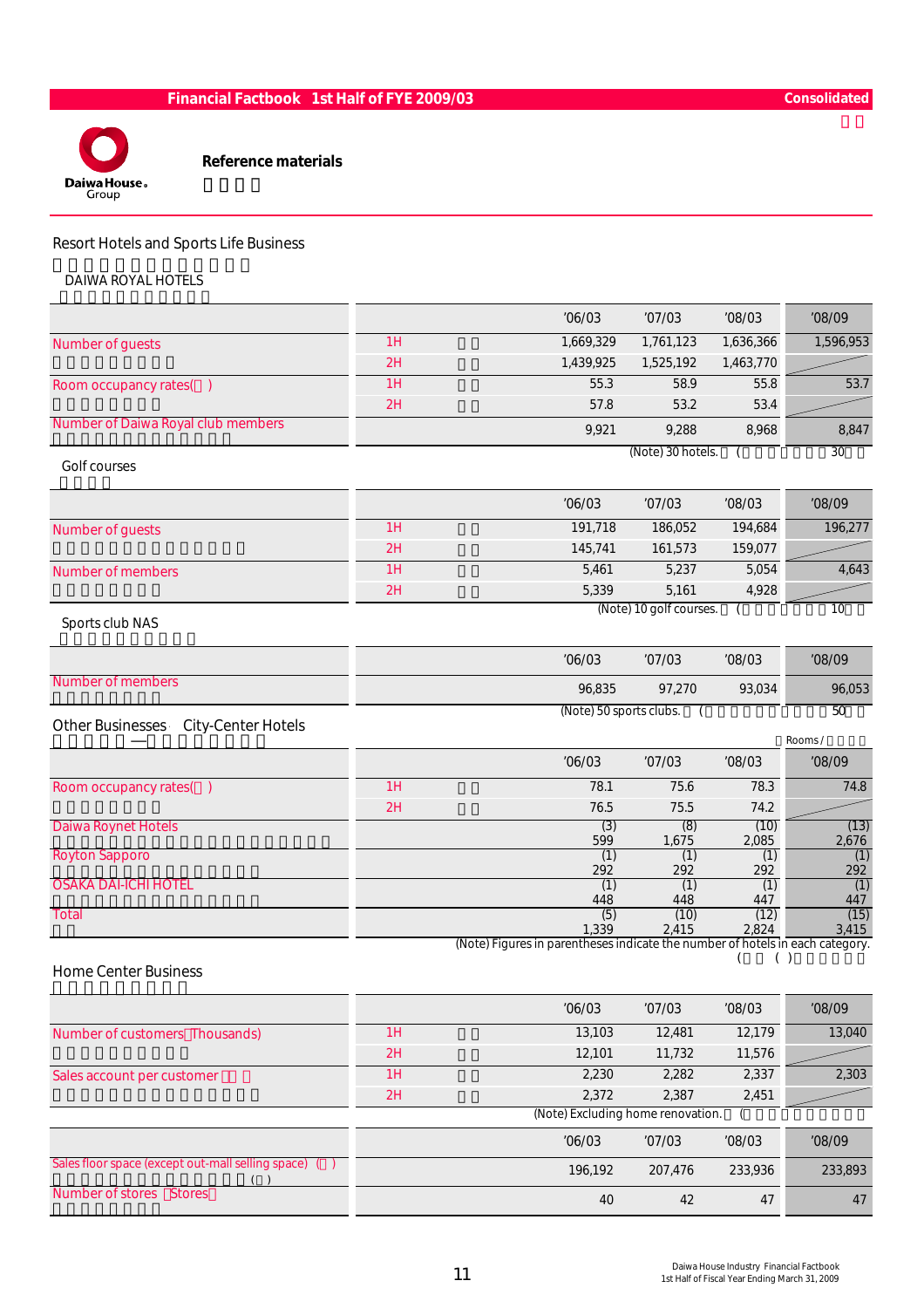

Reference materials

# Resort Hotels and Sports Life Business

DAIWA ROYAL HOTELS

|                                               |    | '06/03                                                                                 | '07/03                  | '08/03        | '08/09           |
|-----------------------------------------------|----|----------------------------------------------------------------------------------------|-------------------------|---------------|------------------|
| Number of guests                              | 1H | 1,669,329                                                                              | 1,761,123               | 1,636,366     | 1,596,953        |
|                                               | 2H | 1,439,925                                                                              | 1,525,192               | 1,463,770     |                  |
| Room occupancy rates()                        | 1H | 55.3                                                                                   | 58.9                    | 55.8          | 53.7             |
|                                               | 2H | 57.8                                                                                   | 53.2                    | 53.4          |                  |
| Number of Daiwa Royal club members            |    | 9,921                                                                                  | 9,288                   | 8,968         | 8,847            |
| Golf courses                                  |    |                                                                                        | (Note) 30 hotels.       |               | 30               |
|                                               |    | '06/03                                                                                 | '07/03                  | '08/03        | '08/09           |
| Number of guests                              | 1H | 191,718                                                                                | 186,052                 | 194,684       | 196,277          |
|                                               | 2H | 145,741                                                                                | 161,573                 | 159,077       |                  |
| <b>Number of members</b>                      | 1H | 5,461                                                                                  | 5,237                   | 5,054         | 4,643            |
|                                               | 2H | 5,339                                                                                  | 5,161                   | 4,928         |                  |
| Sports club NAS                               |    |                                                                                        | (Note) 10 golf courses. |               | 10               |
|                                               |    | '06/03                                                                                 | '07/03                  | '08/03        | '08/09           |
| Number of members                             |    | 96,835                                                                                 | 97,270                  | 93,034        | 96,053           |
| City-Center Hotels<br><b>Other Businesses</b> |    | (Note) 50 sports clubs.                                                                |                         |               | 50               |
|                                               |    | '06/03                                                                                 | '07/03                  | '08/03        | Rooms/<br>'08/09 |
| Room occupancy rates()                        | 1H | 78.1                                                                                   | 75.6                    | 78.3          | 74.8             |
|                                               | 2H | 76.5                                                                                   | 75.5                    | 74.2          |                  |
| <b>Daiwa Roynet Hotels</b>                    |    | (3)<br>599                                                                             | (8)<br>1,675            | (10)<br>2,085 | (13)<br>2,676    |
| <b>Royton Sapporo</b>                         |    | (1)<br>292                                                                             | (1)<br>292              | (1)<br>292    | (1)<br>292       |
| <b>OSAKA DAI-ICHI HOTEL</b>                   |    | (1)                                                                                    | (1)                     | (1)           | (1)              |
| Total                                         |    | 448<br>(5)                                                                             | 448<br>(10)             | 447<br>(12)   | 447<br>(15)      |
|                                               |    | 1,339<br>(Note) Figures in parentheses indicate the number of hotels in each category. | 2,415                   | 2,824         | 3,415            |
| <b>Home Center Business</b>                   |    |                                                                                        |                         | ( )           |                  |
|                                               |    | '06/03                                                                                 | '07/03                  | '08/03        | '08/09           |
| Number of customers Thousands)                | 1H | 13,103                                                                                 | 12,481                  | 12,179        | 13,040           |
|                                               | 2H | 12,101                                                                                 | 11,732                  | 11,576        |                  |
| Sales account per customer                    |    |                                                                                        |                         |               |                  |
|                                               | 1H | 2,230                                                                                  | 2,282                   | 2,337         | 2,303            |
|                                               | 2H | 2,372<br>(Note) Excluding home renovation.                                             | 2,387                   | 2,451         |                  |

|                                                      | (NOTE) EXCIUDING NOME FENOVATION. |         |         |         |  |  |  |  |  |
|------------------------------------------------------|-----------------------------------|---------|---------|---------|--|--|--|--|--|
|                                                      | '06/03                            | '07/03  | '08/03  | '08/09  |  |  |  |  |  |
| Sales floor space (except out-mall selling space) () | 196.192                           | 207.476 | 233,936 | 233,893 |  |  |  |  |  |
| Number of stores Stores                              | 40                                | 42      | 47      | 47      |  |  |  |  |  |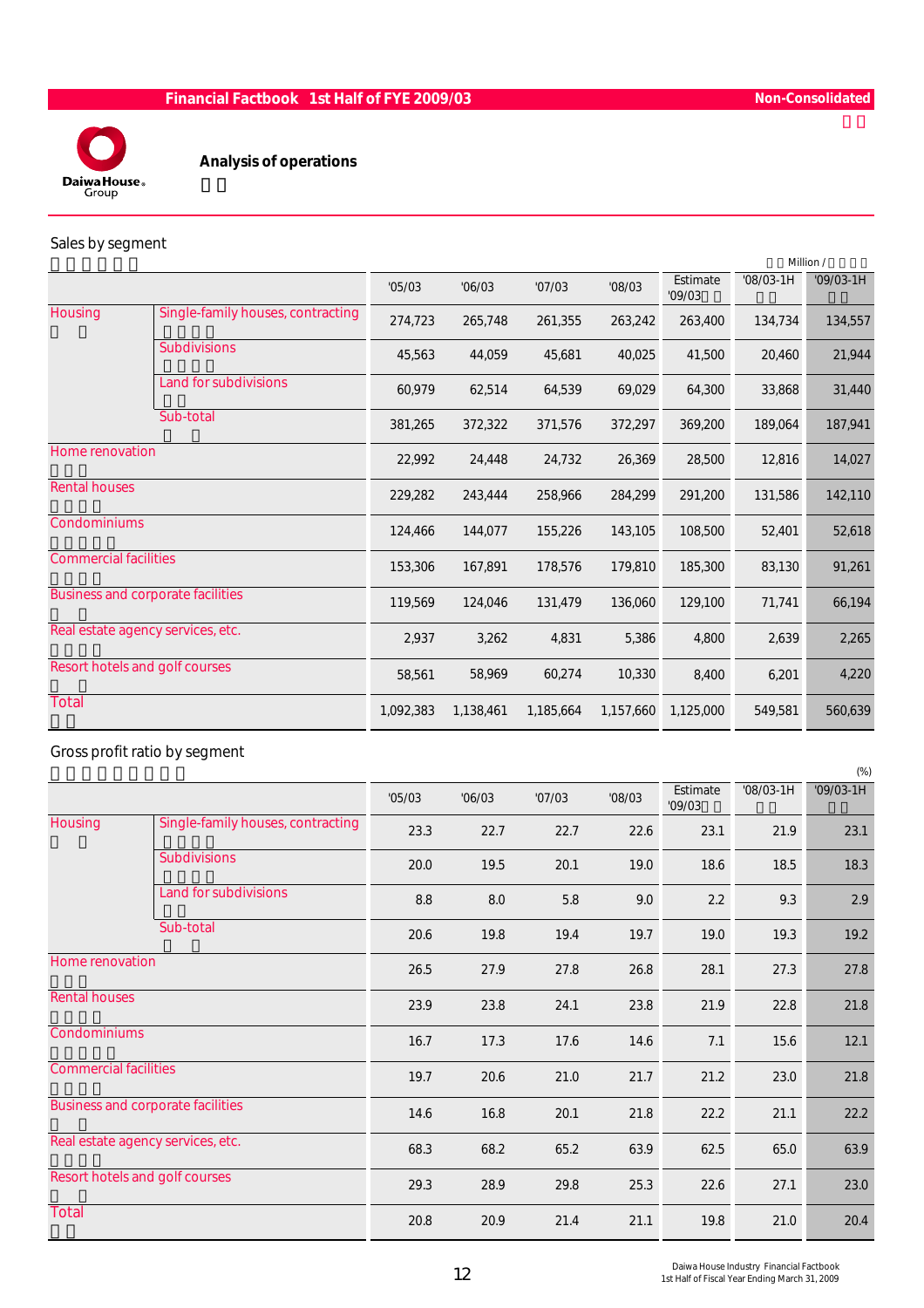

Analysis of operations

#### Sales by segment

|                                |                                          |           |           |           |           |                    |             | Million /   |
|--------------------------------|------------------------------------------|-----------|-----------|-----------|-----------|--------------------|-------------|-------------|
|                                |                                          | '05/03    | '06/03    | '07/03    | '08/03    | Estimate<br>'09/03 | $'08/03-1H$ | $'09/03-1H$ |
| Housing                        | Single-family houses, contracting        | 274,723   | 265,748   | 261,355   | 263,242   | 263,400            | 134,734     | 134,557     |
|                                | <b>Subdivisions</b>                      | 45,563    | 44,059    | 45,681    | 40,025    | 41,500             | 20,460      | 21,944      |
|                                | Land for subdivisions                    | 60,979    | 62,514    | 64,539    | 69,029    | 64,300             | 33,868      | 31,440      |
|                                | Sub-total                                | 381,265   | 372,322   | 371,576   | 372,297   | 369,200            | 189,064     | 187,941     |
| Home renovation                |                                          | 22,992    | 24,448    | 24,732    | 26,369    | 28,500             | 12,816      | 14,027      |
| <b>Rental houses</b>           |                                          | 229,282   | 243,444   | 258,966   | 284,299   | 291,200            | 131,586     | 142,110     |
| Condominiums                   |                                          | 124,466   | 144,077   | 155,226   | 143,105   | 108,500            | 52,401      | 52,618      |
| <b>Commercial facilities</b>   |                                          | 153,306   | 167,891   | 178,576   | 179,810   | 185,300            | 83,130      | 91,261      |
|                                | <b>Business and corporate facilities</b> | 119,569   | 124,046   | 131,479   | 136,060   | 129,100            | 71,741      | 66,194      |
|                                | Real estate agency services, etc.        | 2,937     | 3,262     | 4,831     | 5,386     | 4,800              | 2,639       | 2,265       |
| Resort hotels and golf courses |                                          | 58,561    | 58,969    | 60,274    | 10,330    | 8,400              | 6,201       | 4,220       |
| Total                          |                                          | 1,092,383 | 1,138,461 | 1,185,664 | 1,157,660 | 1,125,000          | 549,581     | 560,639     |

# Gross profit ratio by segment

|                              |                                          |        |        |        |        |                    |             | $(\%)$      |
|------------------------------|------------------------------------------|--------|--------|--------|--------|--------------------|-------------|-------------|
|                              |                                          | '05/03 | '06/03 | '07/03 | '08/03 | Estimate<br>'09/03 | $'08/03-1H$ | $'09/03-1H$ |
| <b>Housing</b>               | Single-family houses, contracting        | 23.3   | 22.7   | 22.7   | 22.6   | 23.1               | 21.9        | 23.1        |
|                              | <b>Subdivisions</b>                      | 20.0   | 19.5   | 20.1   | 19.0   | 18.6               | 18.5        | 18.3        |
|                              | Land for subdivisions                    | 8.8    | 8.0    | 5.8    | 9.0    | 2.2                | 9.3         | 2.9         |
|                              | Sub-total                                | 20.6   | 19.8   | 19.4   | 19.7   | 19.0               | 19.3        | 19.2        |
| Home renovation              |                                          | 26.5   | 27.9   | 27.8   | 26.8   | 28.1               | 27.3        | 27.8        |
| <b>Rental houses</b>         |                                          | 23.9   | 23.8   | 24.1   | 23.8   | 21.9               | 22.8        | 21.8        |
| Condominiums                 |                                          | 16.7   | 17.3   | 17.6   | 14.6   | 7.1                | 15.6        | 12.1        |
| <b>Commercial facilities</b> |                                          | 19.7   | 20.6   | 21.0   | 21.7   | 21.2               | 23.0        | 21.8        |
|                              | <b>Business and corporate facilities</b> | 14.6   | 16.8   | 20.1   | 21.8   | 22.2               | 21.1        | 22.2        |
|                              | Real estate agency services, etc.        | 68.3   | 68.2   | 65.2   | 63.9   | 62.5               | 65.0        | 63.9        |
|                              | Resort hotels and golf courses           | 29.3   | 28.9   | 29.8   | 25.3   | 22.6               | 27.1        | 23.0        |
| Total                        |                                          | 20.8   | 20.9   | 21.4   | 21.1   | 19.8               | 21.0        | 20.4        |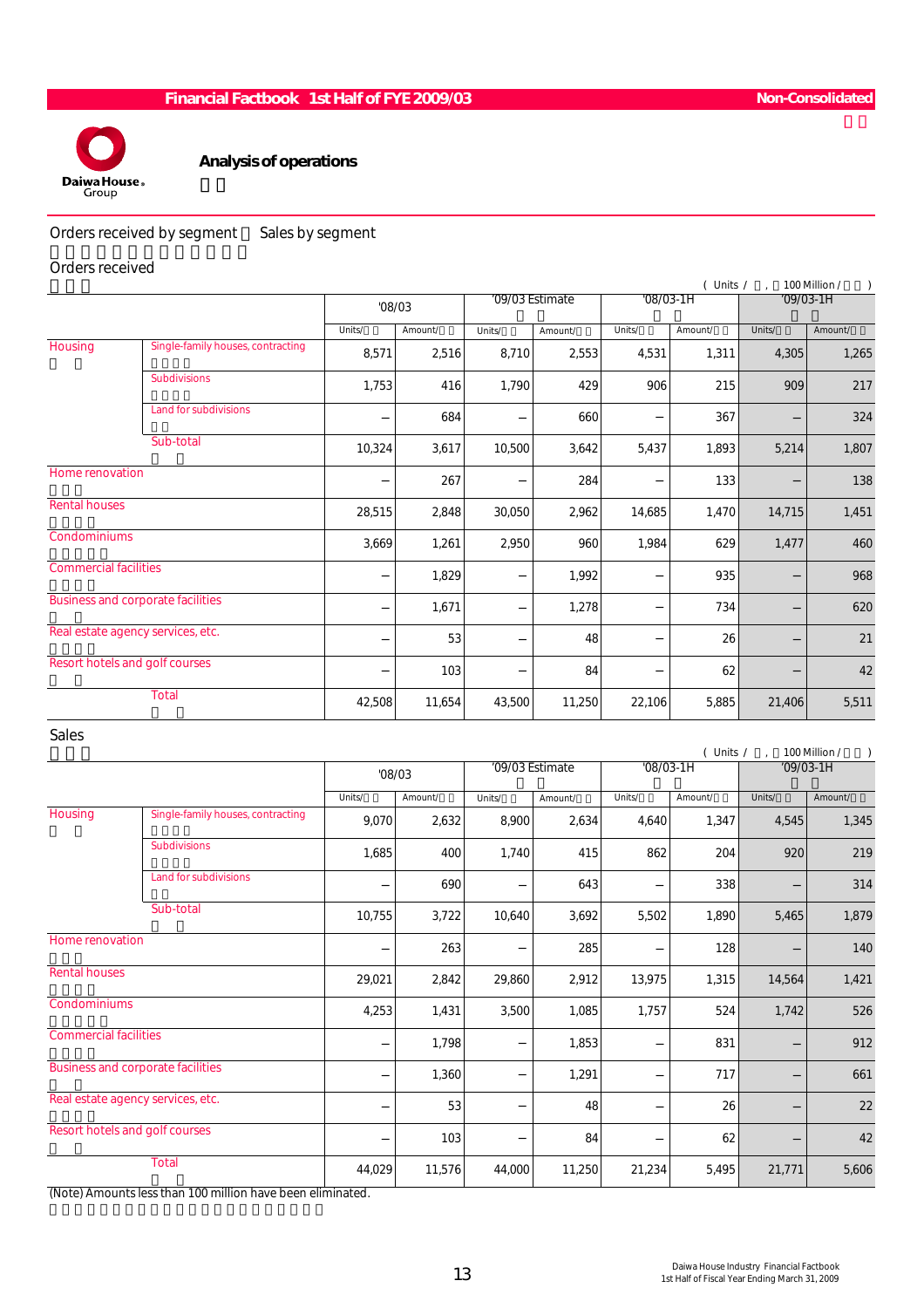

#### Analysis of operations

Orders received by segment Sales by segment

#### Orders received

|                                   |                                          |        |         |        |                 |             | (Units / |        | 100 Million /<br>$\mathcal{L}$ |
|-----------------------------------|------------------------------------------|--------|---------|--------|-----------------|-------------|----------|--------|--------------------------------|
|                                   |                                          | '08/03 |         |        | '09/03 Estimate | $'08/03-1H$ |          |        | $'09/03-1H$                    |
|                                   |                                          | Units/ | Amount/ | Units/ | Amount/         | Units/      | Amount/  | Units/ | Amount/                        |
| Housing                           | Single-family houses, contracting        | 8,571  | 2,516   | 8,710  | 2,553           | 4,531       | 1,311    | 4,305  | 1,265                          |
|                                   | <b>Subdivisions</b>                      | 1,753  | 416     | 1,790  | 429             | 906         | 215      | 909    | 217                            |
|                                   | <b>Land for subdivisions</b>             |        | 684     |        | 660             |             | 367      |        | 324                            |
|                                   | Sub-total                                | 10,324 | 3,617   | 10,500 | 3,642           | 5,437       | 1,893    | 5,214  | 1,807                          |
| Home renovation                   |                                          |        | 267     |        | 284             |             | 133      |        | 138                            |
| <b>Rental houses</b>              |                                          | 28,515 | 2,848   | 30,050 | 2,962           | 14,685      | 1,470    | 14,715 | 1,451                          |
| Condominiums                      |                                          | 3,669  | 1,261   | 2,950  | 960             | 1,984       | 629      | 1,477  | 460                            |
| <b>Commercial facilities</b>      |                                          |        | 1,829   |        | 1,992           |             | 935      |        | 968                            |
|                                   | <b>Business and corporate facilities</b> |        | 1,671   |        | 1,278           |             | 734      |        | 620                            |
| Real estate agency services, etc. |                                          |        | 53      |        | 48              |             | 26       |        | 21                             |
| Resort hotels and golf courses    |                                          |        | 103     |        | 84              |             | 62       |        | 42                             |
|                                   | <b>Total</b>                             | 42,508 | 11,654  | 43,500 | 11,250          | 22,106      | 5,885    | 21,406 | 5,511                          |

#### Sales

|                                |                                          |        |         |                 |         |             | (Units / |             | 100 Million / |
|--------------------------------|------------------------------------------|--------|---------|-----------------|---------|-------------|----------|-------------|---------------|
|                                |                                          | '08/03 |         | '09/03 Estimate |         | $'08/03-1H$ |          | $'09/03-1H$ |               |
|                                |                                          | Units/ | Amount/ | Units/          | Amount/ | Units/      | Amount/  | Units/      | Amount/       |
| Housing                        | Single-family houses, contracting        | 9,070  | 2,632   | 8,900           | 2,634   | 4,640       | 1,347    | 4,545       | 1,345         |
|                                | <b>Subdivisions</b>                      | 1,685  | 400     | 1,740           | 415     | 862         | 204      | 920         | 219           |
| <b>Land for subdivisions</b>   |                                          |        | 690     |                 | 643     |             | 338      |             | 314           |
|                                | Sub-total                                | 10,755 | 3,722   | 10,640          | 3,692   | 5,502       | 1,890    | 5,465       | 1,879         |
| Home renovation                |                                          |        | 263     |                 | 285     |             | 128      |             | 140           |
| <b>Rental houses</b>           |                                          | 29,021 | 2,842   | 29,860          | 2,912   | 13,975      | 1,315    | 14,564      | 1,421         |
| Condominiums                   |                                          | 4,253  | 1,431   | 3,500           | 1,085   | 1,757       | 524      | 1,742       | 526           |
| <b>Commercial facilities</b>   |                                          |        | 1,798   |                 | 1,853   |             | 831      |             | 912           |
|                                | <b>Business and corporate facilities</b> |        | 1,360   |                 | 1,291   |             | 717      |             | 661           |
|                                | Real estate agency services, etc.        |        | 53      |                 | 48      |             | 26       |             | 22            |
| Resort hotels and golf courses |                                          |        | 103     |                 | 84      |             | 62       |             | 42            |
|                                | <b>Total</b>                             | 44,029 | 11,576  | 44,000          | 11,250  | 21,234      | 5,495    | 21,771      | 5,606         |

(Note) Amounts less than 100 million have been eliminated.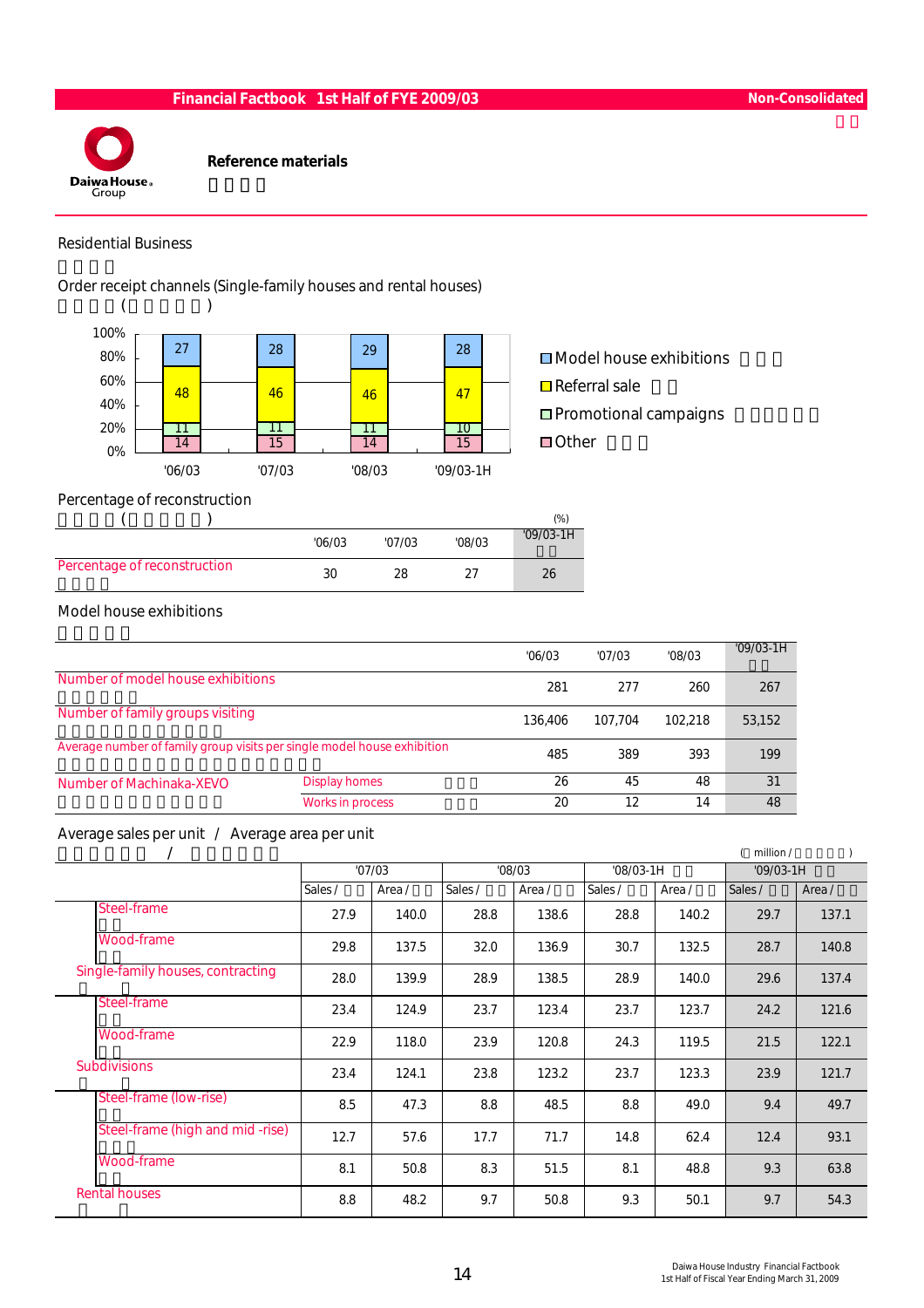

Reference materials

#### Residential Business

Order receipt channels (Single-family houses and rental houses)



# Percentage of reconstruction

|                              |        |        |        | $(\%)$      |
|------------------------------|--------|--------|--------|-------------|
|                              | '06/03 | '07/03 | '08/03 | $'09/03-1H$ |
| Percentage of reconstruction | 30     | 28     |        | 26          |

#### Model house exhibitions

|                                                                         |                      | '06/03  | '07/03  | '08/03  | $'09/03-1H$ |
|-------------------------------------------------------------------------|----------------------|---------|---------|---------|-------------|
| Number of model house exhibitions                                       |                      | 281     | 277     | 260     | 267         |
| Number of family groups visiting                                        |                      | 136,406 | 107.704 | 102.218 | 53,152      |
| Average number of family group visits per single model house exhibition |                      | 485     | 389     | 393     | 199         |
| Number of Machinaka-XEVO                                                | <b>Display homes</b> | 26      | 45      | 48      | 31          |
|                                                                         | Works in process     | 20      | 12      | 14      | 48          |

#### Average sales per unit / Average area per unit

|                                   |         |        |         |        |             |        | million /   |        |
|-----------------------------------|---------|--------|---------|--------|-------------|--------|-------------|--------|
|                                   | '07/03  |        | '08/03  |        | $'08/03-1H$ |        | $'09/03-1H$ |        |
|                                   | Sales / | Area / | Sales / | Area / | Sales /     | Area / | Sales /     | Area / |
| Steel-frame                       | 27.9    | 140.0  | 28.8    | 138.6  | 28.8        | 140.2  | 29.7        | 137.1  |
| Wood-frame                        | 29.8    | 137.5  | 32.0    | 136.9  | 30.7        | 132.5  | 28.7        | 140.8  |
| Single-family houses, contracting | 28.0    | 139.9  | 28.9    | 138.5  | 28.9        | 140.0  | 29.6        | 137.4  |
| Steel-frame                       | 23.4    | 124.9  | 23.7    | 123.4  | 23.7        | 123.7  | 24.2        | 121.6  |
| Wood-frame                        | 22.9    | 118.0  | 23.9    | 120.8  | 24.3        | 119.5  | 21.5        | 122.1  |
| <b>Subdivisions</b>               | 23.4    | 124.1  | 23.8    | 123.2  | 23.7        | 123.3  | 23.9        | 121.7  |
| Steel-frame (low-rise)            | 8.5     | 47.3   | 8.8     | 48.5   | 8.8         | 49.0   | 9.4         | 49.7   |
| Steel-frame (high and mid-rise)   | 12.7    | 57.6   | 17.7    | 71.7   | 14.8        | 62.4   | 12.4        | 93.1   |
| Wood-frame                        | 8.1     | 50.8   | 8.3     | 51.5   | 8.1         | 48.8   | 9.3         | 63.8   |
| <b>Rental houses</b>              | 8.8     | 48.2   | 9.7     | 50.8   | 9.3         | 50.1   | 9.7         | 54.3   |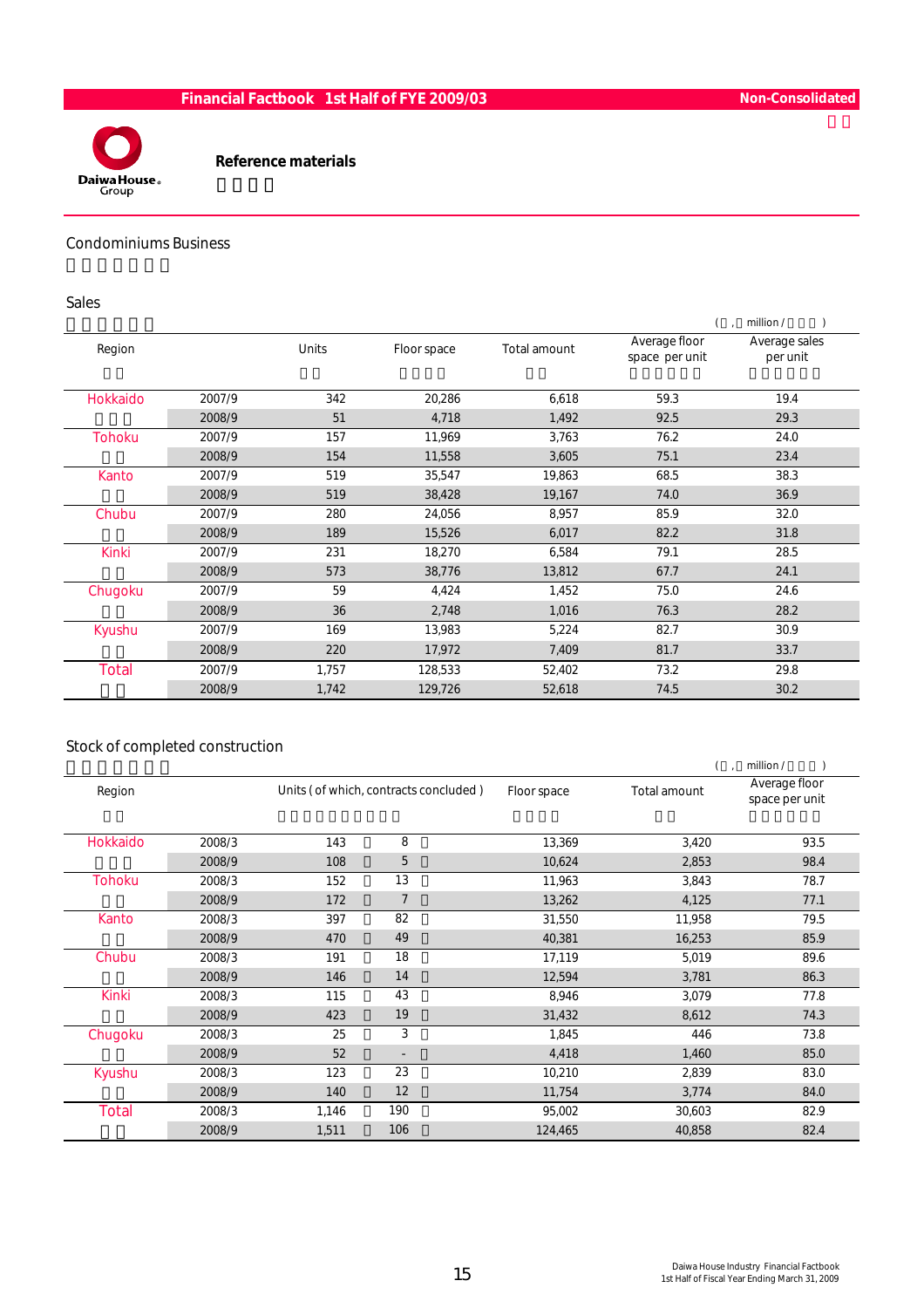

#### Reference materials

#### Condominiums Business

#### Sales

|               |        |       |             |              |                                 | million /                 |
|---------------|--------|-------|-------------|--------------|---------------------------------|---------------------------|
| Region        |        | Units | Floor space | Total amount | Average floor<br>space per unit | Average sales<br>per unit |
| Hokkaido      | 2007/9 | 342   | 20,286      | 6,618        | 59.3                            | 19.4                      |
|               | 2008/9 | 51    | 4,718       | 1,492        | 92.5                            | 29.3                      |
| <b>Tohoku</b> | 2007/9 | 157   | 11,969      | 3,763        | 76.2                            | 24.0                      |
|               | 2008/9 | 154   | 11,558      | 3,605        | 75.1                            | 23.4                      |
| Kanto         | 2007/9 | 519   | 35,547      | 19,863       | 68.5                            | 38.3                      |
|               | 2008/9 | 519   | 38,428      | 19,167       | 74.0                            | 36.9                      |
| Chubu         | 2007/9 | 280   | 24,056      | 8,957        | 85.9                            | 32.0                      |
|               | 2008/9 | 189   | 15,526      | 6,017        | 82.2                            | 31.8                      |
| <b>Kinki</b>  | 2007/9 | 231   | 18,270      | 6,584        | 79.1                            | 28.5                      |
|               | 2008/9 | 573   | 38,776      | 13,812       | 67.7                            | 24.1                      |
| Chugoku       | 2007/9 | 59    | 4,424       | 1,452        | 75.0                            | 24.6                      |
|               | 2008/9 | 36    | 2,748       | 1,016        | 76.3                            | 28.2                      |
| Kyushu        | 2007/9 | 169   | 13,983      | 5,224        | 82.7                            | 30.9                      |
|               | 2008/9 | 220   | 17,972      | 7,409        | 81.7                            | 33.7                      |
| <b>Total</b>  | 2007/9 | 1,757 | 128,533     | 52,402       | 73.2                            | 29.8                      |
|               | 2008/9 | 1,742 | 129,726     | 52,618       | 74.5                            | 30.2                      |

#### Stock of completed construction

|               |                                       |       |                          |              | million /                       |      |  |  |
|---------------|---------------------------------------|-------|--------------------------|--------------|---------------------------------|------|--|--|
| Region        | Units (of which, contracts concluded) |       | Floor space              | Total amount | Average floor<br>space per unit |      |  |  |
| Hokkaido      | 2008/3                                | 143   | 8                        | 13,369       | 3,420                           | 93.5 |  |  |
|               | 2008/9                                | 108   | 5                        | 10,624       | 2,853                           | 98.4 |  |  |
| <b>Tohoku</b> | 2008/3                                | 152   | 13                       | 11,963       | 3,843                           | 78.7 |  |  |
|               | 2008/9                                | 172   | $\overline{7}$           | 13,262       | 4,125                           | 77.1 |  |  |
| Kanto         | 2008/3                                | 397   | 82                       | 31,550       | 11,958                          | 79.5 |  |  |
|               | 2008/9                                | 470   | 49                       | 40,381       | 16,253                          | 85.9 |  |  |
| Chubu         | 2008/3                                | 191   | 18                       | 17,119       | 5,019                           | 89.6 |  |  |
|               | 2008/9                                | 146   | 14                       | 12,594       | 3,781                           | 86.3 |  |  |
| <b>Kinki</b>  | 2008/3                                | 115   | 43                       | 8,946        | 3,079                           | 77.8 |  |  |
|               | 2008/9                                | 423   | 19                       | 31,432       | 8,612                           | 74.3 |  |  |
| Chugoku       | 2008/3                                | 25    | 3                        | 1,845        | 446                             | 73.8 |  |  |
|               | 2008/9                                | 52    | $\overline{\phantom{0}}$ | 4,418        | 1,460                           | 85.0 |  |  |
| Kyushu        | 2008/3                                | 123   | 23                       | 10,210       | 2,839                           | 83.0 |  |  |
|               | 2008/9                                | 140   | 12                       | 11,754       | 3,774                           | 84.0 |  |  |
| <b>Total</b>  | 2008/3                                | 1,146 | 190                      | 95,002       | 30,603                          | 82.9 |  |  |
|               | 2008/9                                | 1,511 | 106                      | 124,465      | 40,858                          | 82.4 |  |  |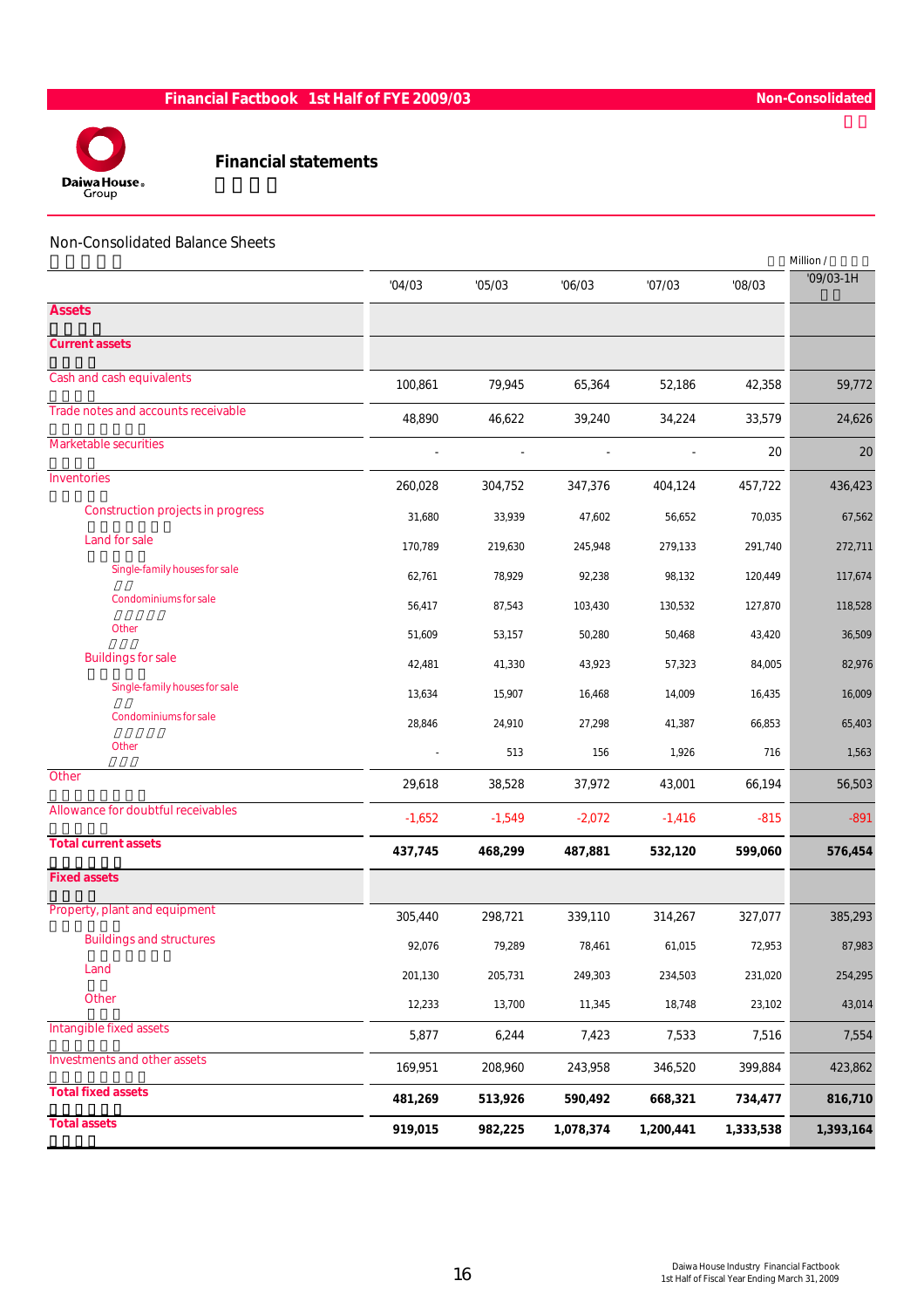

#### Financial statements

#### Non-Consolidated Balance Sheets

|                                     |          |          |           |           |           | Million / |
|-------------------------------------|----------|----------|-----------|-----------|-----------|-----------|
|                                     | '04/03   | '05/03   | '06/03    | '07/03    | '08/03    | '09/03-1H |
| <b>Assets</b>                       |          |          |           |           |           |           |
| <b>Current assets</b>               |          |          |           |           |           |           |
| Cash and cash equivalents           | 100,861  | 79,945   | 65,364    | 52,186    | 42,358    | 59,772    |
| Trade notes and accounts receivable | 48,890   | 46,622   | 39,240    | 34,224    | 33,579    | 24,626    |
| <b>Marketable securities</b>        |          |          |           |           | 20        | 20        |
| Inventories                         | 260,028  | 304,752  | 347,376   | 404,124   | 457,722   | 436,423   |
| Construction projects in progress   | 31,680   | 33,939   | 47,602    | 56,652    | 70,035    | 67,562    |
| Land for sale                       | 170,789  | 219,630  | 245,948   | 279,133   | 291,740   | 272,711   |
| Single-family houses for sale       | 62,761   | 78,929   | 92,238    | 98,132    | 120,449   | 117,674   |
| Condominiums for sale               | 56,417   | 87,543   | 103,430   | 130,532   | 127,870   | 118,528   |
| Other                               | 51,609   | 53,157   | 50,280    | 50,468    | 43,420    | 36,509    |
| <b>Buildings for sale</b>           | 42,481   | 41,330   | 43,923    | 57,323    | 84,005    | 82,976    |
| Single-family houses for sale       | 13,634   | 15,907   | 16,468    | 14,009    | 16,435    | 16,009    |
| Condominiums for sale               | 28,846   | 24,910   | 27,298    | 41,387    | 66,853    | 65,403    |
| <b>Other</b>                        |          | 513      | 156       | 1,926     | 716       | 1,563     |
| Other                               | 29,618   | 38,528   | 37,972    | 43,001    | 66,194    | 56,503    |
| Allowance for doubtful receivables  | $-1,652$ | $-1,549$ | $-2,072$  | $-1,416$  | $-815$    | $-891$    |
| <b>Total current assets</b>         | 437,745  | 468,299  | 487,881   | 532,120   | 599,060   | 576,454   |
| <b>Fixed assets</b>                 |          |          |           |           |           |           |
| Property, plant and equipment       | 305,440  | 298,721  | 339,110   | 314,267   | 327,077   | 385,293   |
| <b>Buildings and structures</b>     | 92,076   | 79,289   | 78,461    | 61,015    | 72,953    | 87,983    |
| Land                                | 201,130  | 205,731  | 249,303   | 234,503   | 231,020   | 254,295   |
| Other                               | 12,233   | 13,700   | 11,345    | 18,748    | 23,102    | 43,014    |
| Intangible fixed assets             | 5,877    | 6,244    | 7,423     | 7,533     | 7,516     | 7,554     |
| Investments and other assets        | 169,951  | 208,960  | 243,958   | 346,520   | 399,884   | 423,862   |
| <b>Total fixed assets</b>           | 481,269  | 513,926  | 590,492   | 668,321   | 734,477   | 816,710   |
| <b>Total assets</b>                 | 919,015  | 982,225  | 1,078,374 | 1,200,441 | 1,333,538 | 1,393,164 |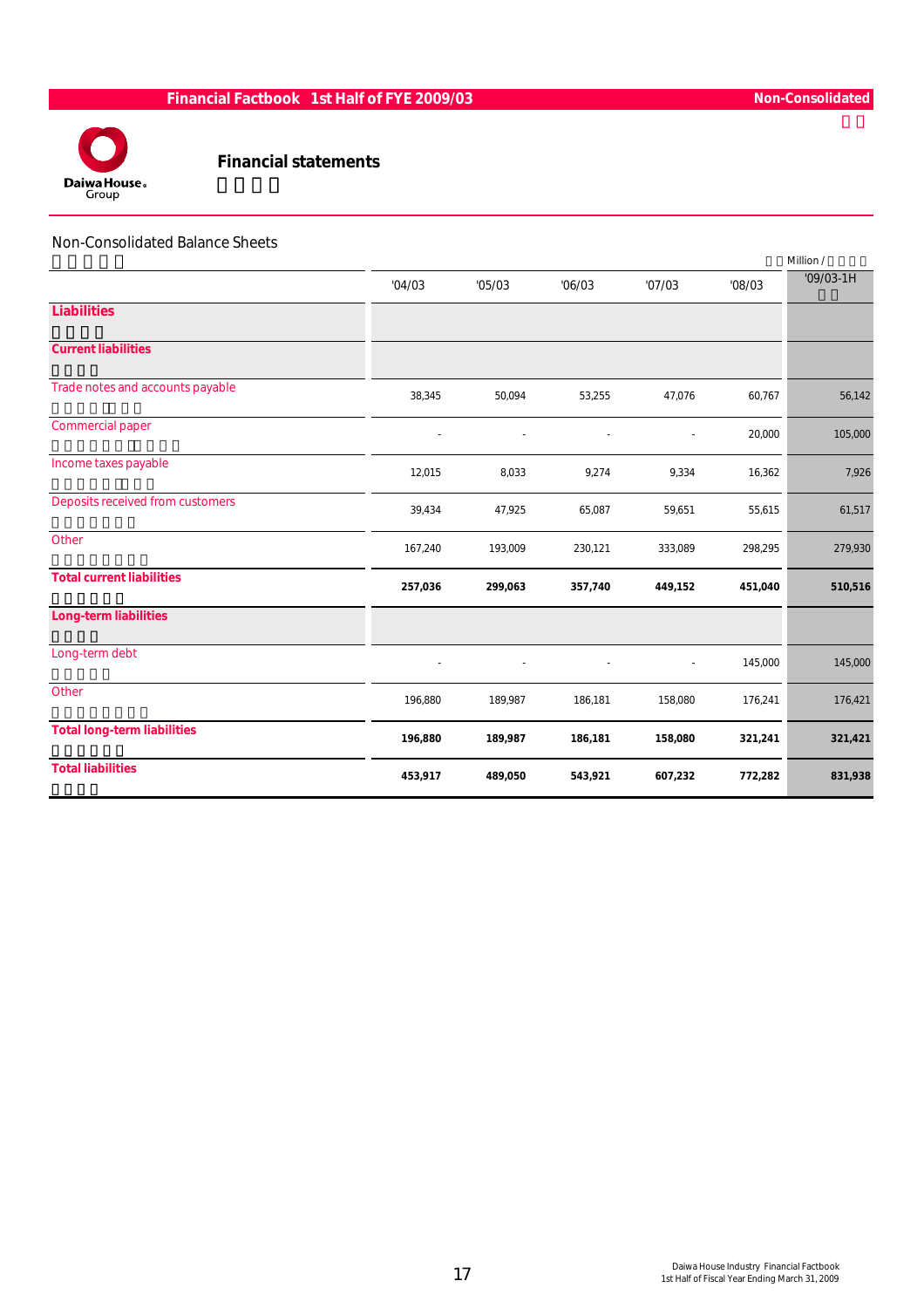

Financial statements

#### Non-Consolidated Balance Sheets

|                                    |         |         |         |         |         | Million /   |
|------------------------------------|---------|---------|---------|---------|---------|-------------|
|                                    | '04/03  | '05/03  | '06/03  | '07/03  | '08/03  | $'09/03-1H$ |
| <b>Liabilities</b>                 |         |         |         |         |         |             |
| <b>Current liabilities</b>         |         |         |         |         |         |             |
| Trade notes and accounts payable   | 38,345  | 50,094  | 53,255  | 47,076  | 60,767  | 56,142      |
| Commercial paper                   |         |         |         | $\sim$  | 20,000  | 105,000     |
| Income taxes payable               | 12,015  | 8,033   | 9,274   | 9,334   | 16,362  | 7,926       |
| Deposits received from customers   | 39,434  | 47,925  | 65,087  | 59,651  | 55,615  | 61,517      |
| Other                              | 167,240 | 193,009 | 230,121 | 333,089 | 298,295 | 279,930     |
| <b>Total current liabilities</b>   | 257,036 | 299,063 | 357,740 | 449,152 | 451,040 | 510,516     |
| Long-term liabilities              |         |         |         |         |         |             |
| Long-term debt                     |         |         |         |         | 145,000 | 145,000     |
| Other                              | 196,880 | 189,987 | 186,181 | 158,080 | 176,241 | 176,421     |
| <b>Total long-term liabilities</b> | 196,880 | 189,987 | 186,181 | 158,080 | 321,241 | 321,421     |
| <b>Total liabilities</b>           | 453,917 | 489,050 | 543,921 | 607,232 | 772,282 | 831,938     |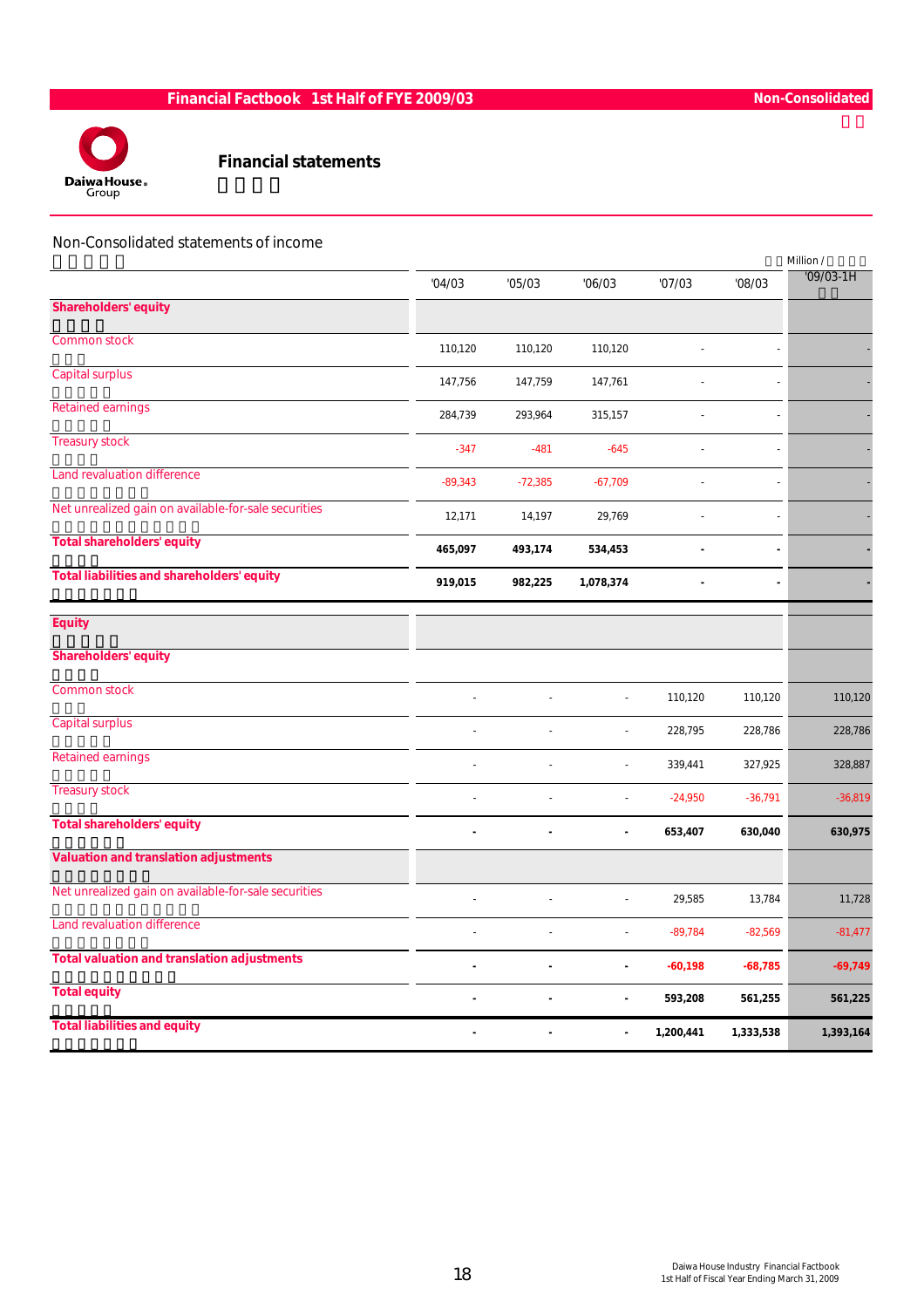

#### Financial statements

#### Non-Consolidated statements of income

|                                                      |           |           |                          |           |                          | Million /   |
|------------------------------------------------------|-----------|-----------|--------------------------|-----------|--------------------------|-------------|
|                                                      | '04/03    | '05/03    | '06/03                   | '07/03    | '08/03                   | $'09/03-1H$ |
| <b>Shareholders' equity</b>                          |           |           |                          |           |                          |             |
| <b>Common stock</b>                                  | 110,120   | 110,120   | 110,120                  |           |                          |             |
| <b>Capital surplus</b>                               | 147,756   | 147,759   | 147,761                  |           |                          |             |
| <b>Retained earnings</b>                             | 284,739   | 293,964   | 315,157                  |           |                          |             |
| <b>Treasury stock</b>                                | $-347$    | $-481$    | $-645$                   | L         | $\overline{a}$           |             |
| <b>Land revaluation difference</b>                   | $-89,343$ | $-72,385$ | $-67,709$                |           | $\overline{\phantom{a}}$ |             |
| Net unrealized gain on available-for-sale securities | 12,171    | 14,197    | 29,769                   |           |                          |             |
| <b>Total shareholders' equity</b>                    | 465,097   | 493,174   | 534,453                  |           | $\blacksquare$           |             |
| <b>Total liabilities and shareholders' equity</b>    | 919,015   | 982,225   | 1,078,374                | ÷,        |                          |             |
|                                                      |           |           |                          |           |                          |             |
| <b>Equity</b>                                        |           |           |                          |           |                          |             |
| <b>Shareholders' equity</b>                          |           |           |                          |           |                          |             |
| <b>Common stock</b>                                  |           |           |                          | 110,120   | 110,120                  | 110,120     |
| <b>Capital surplus</b>                               |           | L,        | $\overline{\phantom{a}}$ | 228,795   | 228,786                  | 228,786     |
| <b>Retained earnings</b>                             |           |           |                          | 339,441   | 327,925                  | 328,887     |
| <b>Treasury stock</b>                                |           |           |                          | $-24,950$ | $-36,791$                | $-36,819$   |
| <b>Total shareholders' equity</b>                    | ä,        | ÷.        | $\tilde{\phantom{a}}$    | 653,407   | 630,040                  | 630,975     |
| <b>Valuation and translation adjustments</b>         |           |           |                          |           |                          |             |
| Net unrealized gain on available-for-sale securities | L,        | L,        | $\overline{a}$           | 29,585    | 13,784                   | 11,728      |
| Land revaluation difference                          |           |           | $\overline{\phantom{a}}$ | $-89,784$ | $-82,569$                | $-81,477$   |
| <b>Total valuation and translation adjustments</b>   |           | ä,        | $\blacksquare$           | $-60,198$ | $-68,785$                | $-69,749$   |
| <b>Total equity</b>                                  | ÷         |           | $\blacksquare$           | 593,208   | 561,255                  | 561,225     |
| <b>Total liabilities and equity</b>                  |           |           |                          | 1,200,441 | 1,333,538                | 1,393,164   |